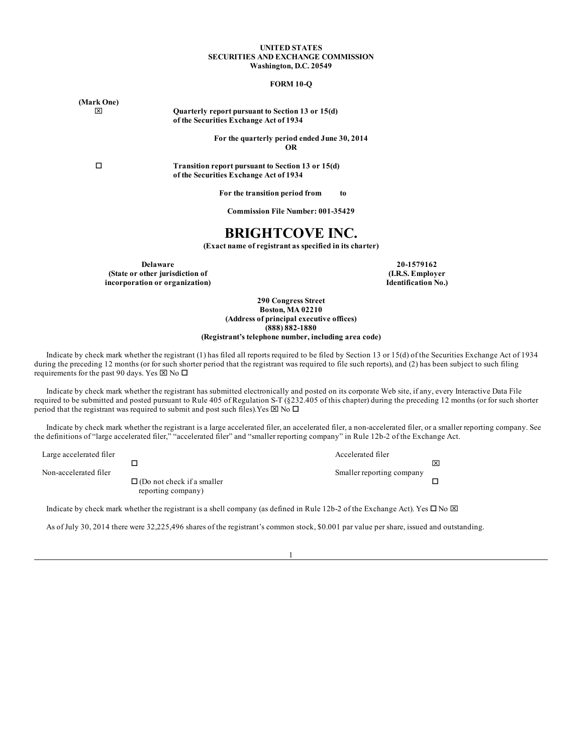### **UNITED STATES SECURITIES AND EXCHANGE COMMISSION Washington, D.C. 20549**

#### **FORM 10-Q**

**(Mark One)**

x **Quarterly report pursuant to Section 13 or 15(d) of the Securities Exchange Act of 1934**

> **For the quarterly period ended June 30, 2014 OR**

o **Transition report pursuant to Section 13 or 15(d) of the Securities Exchange Act of 1934**

**For the transition period from to**

**Commission File Number: 001-35429**

# **BRIGHTCOVE INC.**

**(Exact name of registrant as specified in its charter)**

**(State or other jurisdiction of**

**incorporation or organization)**

**Delaware 20-1579162 (I.R.S. Employer Identification No.)**

> **290 Congress Street Boston, MA 02210 (Address of principal executive offices) (888) 882-1880 (Registrant's telephone number, including area code)**

Indicate by check mark whether the registrant (1) has filed all reports required to be filed by Section 13 or 15(d) of the Securities Exchange Act of 1934 during the preceding 12 months (or for such shorter period that the registrant was required to file such reports), and (2) has been subject to such filing requirements for the past 90 days. Yes  $\boxtimes$  No  $\square$ 

Indicate by check mark whether the registrant has submitted electronically and posted on its corporate Web site, if any, every Interactive Data File required to be submitted and posted pursuant to Rule 405 of Regulation S-T (§232.405 of this chapter) during the preceding 12 months (or for such shorter period that the registrant was required to submit and post such files). Yes  $\boxtimes$  No  $\Box$ 

Indicate by check mark whether the registrant is a large accelerated filer, an accelerated filer, a non-accelerated filer, or a smaller reporting company. See the definitions of "large accelerated filer," "accelerated filer" and "smaller reporting company" in Rule 12b-2 of the Exchange Act.

 $\square$  (Do not check if a smaller reporting company)

Large accelerated filer  $\Box$  $\Box$ Non-accelerated filer Smaller reporting company o

Indicate by check mark whether the registrant is a shell company (as defined in Rule 12b-2 of the Exchange Act). Yes  $\Box$  No  $\boxtimes$ 

As of July 30, 2014 there were 32,225,496 shares of the registrant's common stock, \$0.001 par value per share, issued and outstanding.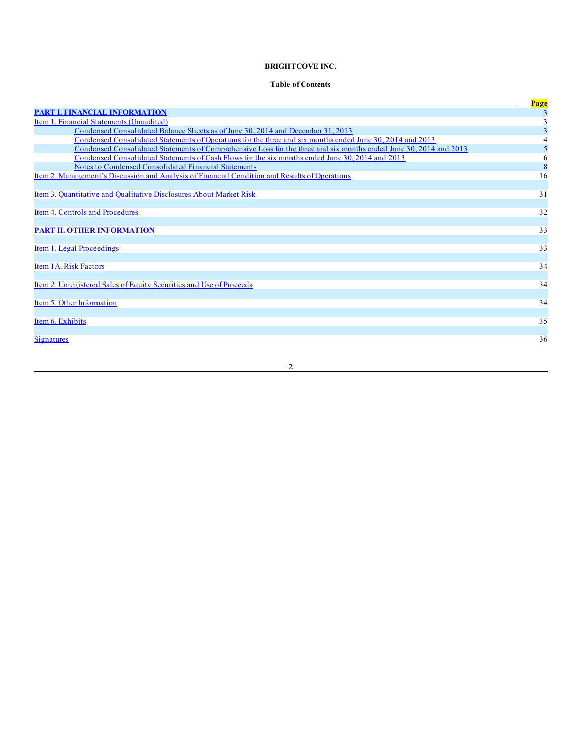# **BRIGHTCOVE INC.**

# **Table of Contents**

|                                                                                                                   | Page |
|-------------------------------------------------------------------------------------------------------------------|------|
| <b>PART I. FINANCIAL INFORMATION</b>                                                                              |      |
| Item 1. Financial Statements (Unaudited)                                                                          |      |
| Condensed Consolidated Balance Sheets as of June 30, 2014 and December 31, 2013                                   |      |
| Condensed Consolidated Statements of Operations for the three and six months ended June 30, 2014 and 2013         |      |
| Condensed Consolidated Statements of Comprehensive Loss for the three and six months ended June 30, 2014 and 2013 | 5    |
| Condensed Consolidated Statements of Cash Flows for the six months ended June 30, 2014 and 2013                   | 6    |
| Notes to Condensed Consolidated Financial Statements                                                              | 8    |
| <u>Item 2. Management's Discussion and Analysis of Financial Condition and Results of Operations</u>              | 16   |
|                                                                                                                   |      |
| Item 3. Quantitative and Qualitative Disclosures About Market Risk                                                | 31   |
|                                                                                                                   |      |
| Item 4. Controls and Procedures                                                                                   | 32   |
| <b>PART II. OTHER INFORMATION</b>                                                                                 | 33   |
|                                                                                                                   |      |
| Item 1. Legal Proceedings                                                                                         | 33   |
|                                                                                                                   |      |
| Item 1A. Risk Factors                                                                                             | 34   |
|                                                                                                                   |      |
| Item 2. Unregistered Sales of Equity Securities and Use of Proceeds                                               | 34   |
|                                                                                                                   |      |
| Item 5. Other Information                                                                                         | 34   |
|                                                                                                                   |      |
| Item 6. Exhibits                                                                                                  | 35   |
|                                                                                                                   |      |
| Signatures                                                                                                        | 36   |
|                                                                                                                   |      |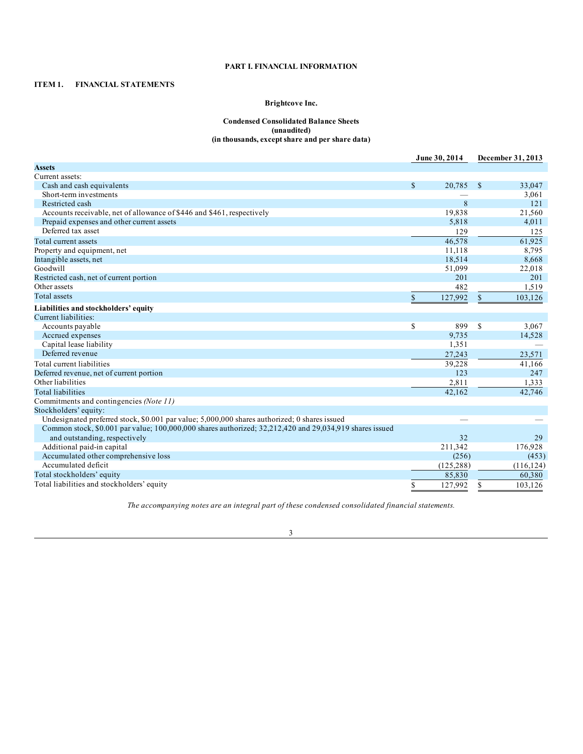# **PART I. FINANCIAL INFORMATION**

# <span id="page-2-0"></span>**ITEM 1. FINANCIAL STATEMENTS**

# **Brightcove Inc.**

## **Condensed Consolidated Balance Sheets (unaudited) (in thousands, except share and per share data)**

|                                                                                                         |              | June 30, 2014 |              | December 31, 2013 |
|---------------------------------------------------------------------------------------------------------|--------------|---------------|--------------|-------------------|
| <b>Assets</b>                                                                                           |              |               |              |                   |
| Current assets:                                                                                         |              |               |              |                   |
| Cash and cash equivalents                                                                               | $\mathbb{S}$ | 20,785        | $\mathbb{S}$ | 33,047            |
| Short-term investments                                                                                  |              |               |              | 3,061             |
| Restricted cash                                                                                         |              | 8             |              | 121               |
| Accounts receivable, net of allowance of \$446 and \$461, respectively                                  |              | 19,838        |              | 21,560            |
| Prepaid expenses and other current assets                                                               |              | 5,818         |              | 4,011             |
| Deferred tax asset                                                                                      |              | 129           |              | 125               |
| Total current assets                                                                                    |              | 46.578        |              | 61,925            |
| Property and equipment, net                                                                             |              | 11,118        |              | 8,795             |
| Intangible assets, net                                                                                  |              | 18,514        |              | 8,668             |
| Goodwill                                                                                                |              | 51,099        |              | 22,018            |
| Restricted cash, net of current portion                                                                 |              | 201           |              | 201               |
| Other assets                                                                                            |              | 482           |              | 1,519             |
| <b>Total</b> assets                                                                                     | $\mathbb{S}$ | 127,992       | \$           | 103,126           |
| Liabilities and stockholders' equity                                                                    |              |               |              |                   |
| Current liabilities:                                                                                    |              |               |              |                   |
| Accounts payable                                                                                        | \$           | 899           | \$           | 3,067             |
| Accrued expenses                                                                                        |              | 9,735         |              | 14,528            |
| Capital lease liability                                                                                 |              | 1,351         |              |                   |
| Deferred revenue                                                                                        |              | 27,243        |              | 23,571            |
| Total current liabilities                                                                               |              | 39,228        |              | 41,166            |
| Deferred revenue, net of current portion                                                                |              | 123           |              | 247               |
| Other liabilities                                                                                       |              | 2,811         |              | 1,333             |
| <b>Total liabilities</b>                                                                                |              | 42,162        |              | 42,746            |
| Commitments and contingencies (Note 11)                                                                 |              |               |              |                   |
| Stockholders' equity:                                                                                   |              |               |              |                   |
| Undesignated preferred stock, \$0.001 par value; 5,000,000 shares authorized; 0 shares issued           |              |               |              |                   |
| Common stock, \$0.001 par value; 100,000,000 shares authorized; 32,212,420 and 29,034,919 shares issued |              |               |              |                   |
| and outstanding, respectively                                                                           |              | 32            |              | 29                |
| Additional paid-in capital                                                                              |              | 211,342       |              | 176,928           |
| Accumulated other comprehensive loss                                                                    |              | (256)         |              | (453)             |
| Accumulated deficit                                                                                     |              | (125, 288)    |              | (116, 124)        |
| Total stockholders' equity                                                                              |              | 85,830        |              | 60,380            |
| Total liabilities and stockholders' equity                                                              | \$           | 127,992       | \$           | 103,126           |

*The accompanying notes are an integral part of these condensed consolidated financial statements.*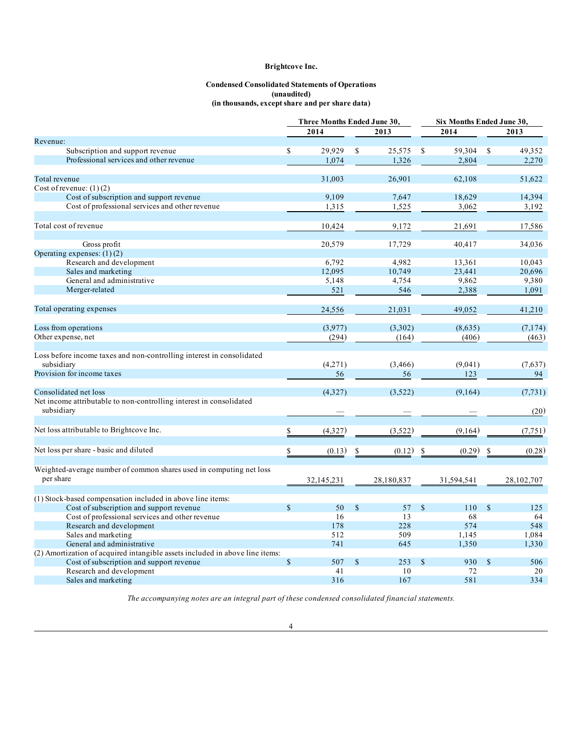# **Condensed Consolidated Statements of Operations (unaudited) (in thousands, except share and per share data)**

<span id="page-3-0"></span>

| 2014<br>2014<br>2013<br>2013<br>Revenue:<br>\$<br>29,929<br>\$<br>25,575<br><sup>\$</sup><br>59,304<br>\$<br>49,352<br>Subscription and support revenue<br>Professional services and other revenue<br>1,074<br>1,326<br>2,804<br>2,270<br>31,003<br>26,901<br>51,622<br>Total revenue<br>62,108<br>Cost of revenue: $(1)(2)$<br>Cost of subscription and support revenue<br>7,647<br>9,109<br>18,629<br>14,394<br>Cost of professional services and other revenue<br>1,525<br>1,315<br>3,062<br>3,192<br>Total cost of revenue<br>10,424<br>9,172<br>21,691<br>17,586<br>Gross profit<br>20,579<br>17,729<br>40,417<br>34,036<br>Operating expenses: $(1)(2)$<br>Research and development<br>6,792<br>4,982<br>13,361<br>10,043<br>Sales and marketing<br>12,095<br>10,749<br>23,441<br>20,696<br>General and administrative<br>5,148<br>4,754<br>9,862<br>9,380<br>Merger-related<br>521<br>546<br>2,388<br>1,091<br>Total operating expenses<br>24,556<br>41,210<br>21,031<br>49,052<br>(3,977)<br>(3,302)<br>(8,635)<br>(7,174)<br>Loss from operations<br>Other expense, net<br>(294)<br>(406)<br>(164)<br>(463)<br>Loss before income taxes and non-controlling interest in consolidated<br>(4,271)<br>(3, 466)<br>(9,041)<br>(7,637)<br>subsidiary<br>Provision for income taxes<br>56<br>123<br>56<br>94<br>Consolidated net loss<br>(4,327)<br>(3,522)<br>(9,164)<br>(7, 731)<br>Net income attributable to non-controlling interest in consolidated<br>subsidiary<br>(20)<br>(4,327)<br>(3,522)<br>(9,164)<br>\$<br>(7, 751)<br>Net loss per share - basic and diluted<br>\$<br>(0.13)<br>\$<br>(0.12)<br>\$<br>(0.29)<br>\$<br>(0.28)<br>Weighted-average number of common shares used in computing net loss<br>per share<br>32,145,231<br>28,180,837<br>31,594,541<br>28,102,707<br>(1) Stock-based compensation included in above line items:<br>\$<br>$\mathbb{S}$<br>50<br>$\mathbf S$<br>$\mathbb{S}$<br>Cost of subscription and support revenue<br>57<br>110<br>125<br>Cost of professional services and other revenue<br>13<br>16<br>68<br>64<br>Research and development<br>178<br>228<br>574<br>548<br>Sales and marketing<br>512<br>509<br>1,084<br>1,145<br>General and administrative<br>741<br>645<br>1,350<br>1,330<br>(2) Amortization of acquired intangible assets included in above line items:<br>$\mathbb S$<br>Cost of subscription and support revenue<br>507<br>$\mathbf S$<br>253<br>930<br>$\mathbf S$<br>506<br><sup>\$</sup><br>Research and development<br>41<br>10<br>20<br>72<br>316<br>167<br>581<br>334 |                                          | Three Months Ended June 30, |  |  | Six Months Ended June 30, |  |  |  |
|----------------------------------------------------------------------------------------------------------------------------------------------------------------------------------------------------------------------------------------------------------------------------------------------------------------------------------------------------------------------------------------------------------------------------------------------------------------------------------------------------------------------------------------------------------------------------------------------------------------------------------------------------------------------------------------------------------------------------------------------------------------------------------------------------------------------------------------------------------------------------------------------------------------------------------------------------------------------------------------------------------------------------------------------------------------------------------------------------------------------------------------------------------------------------------------------------------------------------------------------------------------------------------------------------------------------------------------------------------------------------------------------------------------------------------------------------------------------------------------------------------------------------------------------------------------------------------------------------------------------------------------------------------------------------------------------------------------------------------------------------------------------------------------------------------------------------------------------------------------------------------------------------------------------------------------------------------------------------------------------------------------------------------------------------------------------------------------------------------------------------------------------------------------------------------------------------------------------------------------------------------------------------------------------------------------------------------------------------------------------------------------------------------------------------------------------------------------------------------------------------------------------------------------------------|------------------------------------------|-----------------------------|--|--|---------------------------|--|--|--|
|                                                                                                                                                                                                                                                                                                                                                                                                                                                                                                                                                                                                                                                                                                                                                                                                                                                                                                                                                                                                                                                                                                                                                                                                                                                                                                                                                                                                                                                                                                                                                                                                                                                                                                                                                                                                                                                                                                                                                                                                                                                                                                                                                                                                                                                                                                                                                                                                                                                                                                                                                    |                                          |                             |  |  |                           |  |  |  |
|                                                                                                                                                                                                                                                                                                                                                                                                                                                                                                                                                                                                                                                                                                                                                                                                                                                                                                                                                                                                                                                                                                                                                                                                                                                                                                                                                                                                                                                                                                                                                                                                                                                                                                                                                                                                                                                                                                                                                                                                                                                                                                                                                                                                                                                                                                                                                                                                                                                                                                                                                    |                                          |                             |  |  |                           |  |  |  |
|                                                                                                                                                                                                                                                                                                                                                                                                                                                                                                                                                                                                                                                                                                                                                                                                                                                                                                                                                                                                                                                                                                                                                                                                                                                                                                                                                                                                                                                                                                                                                                                                                                                                                                                                                                                                                                                                                                                                                                                                                                                                                                                                                                                                                                                                                                                                                                                                                                                                                                                                                    |                                          |                             |  |  |                           |  |  |  |
|                                                                                                                                                                                                                                                                                                                                                                                                                                                                                                                                                                                                                                                                                                                                                                                                                                                                                                                                                                                                                                                                                                                                                                                                                                                                                                                                                                                                                                                                                                                                                                                                                                                                                                                                                                                                                                                                                                                                                                                                                                                                                                                                                                                                                                                                                                                                                                                                                                                                                                                                                    |                                          |                             |  |  |                           |  |  |  |
|                                                                                                                                                                                                                                                                                                                                                                                                                                                                                                                                                                                                                                                                                                                                                                                                                                                                                                                                                                                                                                                                                                                                                                                                                                                                                                                                                                                                                                                                                                                                                                                                                                                                                                                                                                                                                                                                                                                                                                                                                                                                                                                                                                                                                                                                                                                                                                                                                                                                                                                                                    |                                          |                             |  |  |                           |  |  |  |
|                                                                                                                                                                                                                                                                                                                                                                                                                                                                                                                                                                                                                                                                                                                                                                                                                                                                                                                                                                                                                                                                                                                                                                                                                                                                                                                                                                                                                                                                                                                                                                                                                                                                                                                                                                                                                                                                                                                                                                                                                                                                                                                                                                                                                                                                                                                                                                                                                                                                                                                                                    |                                          |                             |  |  |                           |  |  |  |
|                                                                                                                                                                                                                                                                                                                                                                                                                                                                                                                                                                                                                                                                                                                                                                                                                                                                                                                                                                                                                                                                                                                                                                                                                                                                                                                                                                                                                                                                                                                                                                                                                                                                                                                                                                                                                                                                                                                                                                                                                                                                                                                                                                                                                                                                                                                                                                                                                                                                                                                                                    |                                          |                             |  |  |                           |  |  |  |
|                                                                                                                                                                                                                                                                                                                                                                                                                                                                                                                                                                                                                                                                                                                                                                                                                                                                                                                                                                                                                                                                                                                                                                                                                                                                                                                                                                                                                                                                                                                                                                                                                                                                                                                                                                                                                                                                                                                                                                                                                                                                                                                                                                                                                                                                                                                                                                                                                                                                                                                                                    |                                          |                             |  |  |                           |  |  |  |
|                                                                                                                                                                                                                                                                                                                                                                                                                                                                                                                                                                                                                                                                                                                                                                                                                                                                                                                                                                                                                                                                                                                                                                                                                                                                                                                                                                                                                                                                                                                                                                                                                                                                                                                                                                                                                                                                                                                                                                                                                                                                                                                                                                                                                                                                                                                                                                                                                                                                                                                                                    |                                          |                             |  |  |                           |  |  |  |
|                                                                                                                                                                                                                                                                                                                                                                                                                                                                                                                                                                                                                                                                                                                                                                                                                                                                                                                                                                                                                                                                                                                                                                                                                                                                                                                                                                                                                                                                                                                                                                                                                                                                                                                                                                                                                                                                                                                                                                                                                                                                                                                                                                                                                                                                                                                                                                                                                                                                                                                                                    |                                          |                             |  |  |                           |  |  |  |
|                                                                                                                                                                                                                                                                                                                                                                                                                                                                                                                                                                                                                                                                                                                                                                                                                                                                                                                                                                                                                                                                                                                                                                                                                                                                                                                                                                                                                                                                                                                                                                                                                                                                                                                                                                                                                                                                                                                                                                                                                                                                                                                                                                                                                                                                                                                                                                                                                                                                                                                                                    |                                          |                             |  |  |                           |  |  |  |
|                                                                                                                                                                                                                                                                                                                                                                                                                                                                                                                                                                                                                                                                                                                                                                                                                                                                                                                                                                                                                                                                                                                                                                                                                                                                                                                                                                                                                                                                                                                                                                                                                                                                                                                                                                                                                                                                                                                                                                                                                                                                                                                                                                                                                                                                                                                                                                                                                                                                                                                                                    |                                          |                             |  |  |                           |  |  |  |
|                                                                                                                                                                                                                                                                                                                                                                                                                                                                                                                                                                                                                                                                                                                                                                                                                                                                                                                                                                                                                                                                                                                                                                                                                                                                                                                                                                                                                                                                                                                                                                                                                                                                                                                                                                                                                                                                                                                                                                                                                                                                                                                                                                                                                                                                                                                                                                                                                                                                                                                                                    |                                          |                             |  |  |                           |  |  |  |
|                                                                                                                                                                                                                                                                                                                                                                                                                                                                                                                                                                                                                                                                                                                                                                                                                                                                                                                                                                                                                                                                                                                                                                                                                                                                                                                                                                                                                                                                                                                                                                                                                                                                                                                                                                                                                                                                                                                                                                                                                                                                                                                                                                                                                                                                                                                                                                                                                                                                                                                                                    |                                          |                             |  |  |                           |  |  |  |
|                                                                                                                                                                                                                                                                                                                                                                                                                                                                                                                                                                                                                                                                                                                                                                                                                                                                                                                                                                                                                                                                                                                                                                                                                                                                                                                                                                                                                                                                                                                                                                                                                                                                                                                                                                                                                                                                                                                                                                                                                                                                                                                                                                                                                                                                                                                                                                                                                                                                                                                                                    |                                          |                             |  |  |                           |  |  |  |
|                                                                                                                                                                                                                                                                                                                                                                                                                                                                                                                                                                                                                                                                                                                                                                                                                                                                                                                                                                                                                                                                                                                                                                                                                                                                                                                                                                                                                                                                                                                                                                                                                                                                                                                                                                                                                                                                                                                                                                                                                                                                                                                                                                                                                                                                                                                                                                                                                                                                                                                                                    |                                          |                             |  |  |                           |  |  |  |
|                                                                                                                                                                                                                                                                                                                                                                                                                                                                                                                                                                                                                                                                                                                                                                                                                                                                                                                                                                                                                                                                                                                                                                                                                                                                                                                                                                                                                                                                                                                                                                                                                                                                                                                                                                                                                                                                                                                                                                                                                                                                                                                                                                                                                                                                                                                                                                                                                                                                                                                                                    |                                          |                             |  |  |                           |  |  |  |
|                                                                                                                                                                                                                                                                                                                                                                                                                                                                                                                                                                                                                                                                                                                                                                                                                                                                                                                                                                                                                                                                                                                                                                                                                                                                                                                                                                                                                                                                                                                                                                                                                                                                                                                                                                                                                                                                                                                                                                                                                                                                                                                                                                                                                                                                                                                                                                                                                                                                                                                                                    |                                          |                             |  |  |                           |  |  |  |
|                                                                                                                                                                                                                                                                                                                                                                                                                                                                                                                                                                                                                                                                                                                                                                                                                                                                                                                                                                                                                                                                                                                                                                                                                                                                                                                                                                                                                                                                                                                                                                                                                                                                                                                                                                                                                                                                                                                                                                                                                                                                                                                                                                                                                                                                                                                                                                                                                                                                                                                                                    |                                          |                             |  |  |                           |  |  |  |
|                                                                                                                                                                                                                                                                                                                                                                                                                                                                                                                                                                                                                                                                                                                                                                                                                                                                                                                                                                                                                                                                                                                                                                                                                                                                                                                                                                                                                                                                                                                                                                                                                                                                                                                                                                                                                                                                                                                                                                                                                                                                                                                                                                                                                                                                                                                                                                                                                                                                                                                                                    |                                          |                             |  |  |                           |  |  |  |
|                                                                                                                                                                                                                                                                                                                                                                                                                                                                                                                                                                                                                                                                                                                                                                                                                                                                                                                                                                                                                                                                                                                                                                                                                                                                                                                                                                                                                                                                                                                                                                                                                                                                                                                                                                                                                                                                                                                                                                                                                                                                                                                                                                                                                                                                                                                                                                                                                                                                                                                                                    |                                          |                             |  |  |                           |  |  |  |
|                                                                                                                                                                                                                                                                                                                                                                                                                                                                                                                                                                                                                                                                                                                                                                                                                                                                                                                                                                                                                                                                                                                                                                                                                                                                                                                                                                                                                                                                                                                                                                                                                                                                                                                                                                                                                                                                                                                                                                                                                                                                                                                                                                                                                                                                                                                                                                                                                                                                                                                                                    |                                          |                             |  |  |                           |  |  |  |
|                                                                                                                                                                                                                                                                                                                                                                                                                                                                                                                                                                                                                                                                                                                                                                                                                                                                                                                                                                                                                                                                                                                                                                                                                                                                                                                                                                                                                                                                                                                                                                                                                                                                                                                                                                                                                                                                                                                                                                                                                                                                                                                                                                                                                                                                                                                                                                                                                                                                                                                                                    |                                          |                             |  |  |                           |  |  |  |
|                                                                                                                                                                                                                                                                                                                                                                                                                                                                                                                                                                                                                                                                                                                                                                                                                                                                                                                                                                                                                                                                                                                                                                                                                                                                                                                                                                                                                                                                                                                                                                                                                                                                                                                                                                                                                                                                                                                                                                                                                                                                                                                                                                                                                                                                                                                                                                                                                                                                                                                                                    |                                          |                             |  |  |                           |  |  |  |
|                                                                                                                                                                                                                                                                                                                                                                                                                                                                                                                                                                                                                                                                                                                                                                                                                                                                                                                                                                                                                                                                                                                                                                                                                                                                                                                                                                                                                                                                                                                                                                                                                                                                                                                                                                                                                                                                                                                                                                                                                                                                                                                                                                                                                                                                                                                                                                                                                                                                                                                                                    |                                          |                             |  |  |                           |  |  |  |
|                                                                                                                                                                                                                                                                                                                                                                                                                                                                                                                                                                                                                                                                                                                                                                                                                                                                                                                                                                                                                                                                                                                                                                                                                                                                                                                                                                                                                                                                                                                                                                                                                                                                                                                                                                                                                                                                                                                                                                                                                                                                                                                                                                                                                                                                                                                                                                                                                                                                                                                                                    |                                          |                             |  |  |                           |  |  |  |
|                                                                                                                                                                                                                                                                                                                                                                                                                                                                                                                                                                                                                                                                                                                                                                                                                                                                                                                                                                                                                                                                                                                                                                                                                                                                                                                                                                                                                                                                                                                                                                                                                                                                                                                                                                                                                                                                                                                                                                                                                                                                                                                                                                                                                                                                                                                                                                                                                                                                                                                                                    |                                          |                             |  |  |                           |  |  |  |
|                                                                                                                                                                                                                                                                                                                                                                                                                                                                                                                                                                                                                                                                                                                                                                                                                                                                                                                                                                                                                                                                                                                                                                                                                                                                                                                                                                                                                                                                                                                                                                                                                                                                                                                                                                                                                                                                                                                                                                                                                                                                                                                                                                                                                                                                                                                                                                                                                                                                                                                                                    | Net loss attributable to Brightcove Inc. |                             |  |  |                           |  |  |  |
|                                                                                                                                                                                                                                                                                                                                                                                                                                                                                                                                                                                                                                                                                                                                                                                                                                                                                                                                                                                                                                                                                                                                                                                                                                                                                                                                                                                                                                                                                                                                                                                                                                                                                                                                                                                                                                                                                                                                                                                                                                                                                                                                                                                                                                                                                                                                                                                                                                                                                                                                                    |                                          |                             |  |  |                           |  |  |  |
|                                                                                                                                                                                                                                                                                                                                                                                                                                                                                                                                                                                                                                                                                                                                                                                                                                                                                                                                                                                                                                                                                                                                                                                                                                                                                                                                                                                                                                                                                                                                                                                                                                                                                                                                                                                                                                                                                                                                                                                                                                                                                                                                                                                                                                                                                                                                                                                                                                                                                                                                                    |                                          |                             |  |  |                           |  |  |  |
|                                                                                                                                                                                                                                                                                                                                                                                                                                                                                                                                                                                                                                                                                                                                                                                                                                                                                                                                                                                                                                                                                                                                                                                                                                                                                                                                                                                                                                                                                                                                                                                                                                                                                                                                                                                                                                                                                                                                                                                                                                                                                                                                                                                                                                                                                                                                                                                                                                                                                                                                                    |                                          |                             |  |  |                           |  |  |  |
|                                                                                                                                                                                                                                                                                                                                                                                                                                                                                                                                                                                                                                                                                                                                                                                                                                                                                                                                                                                                                                                                                                                                                                                                                                                                                                                                                                                                                                                                                                                                                                                                                                                                                                                                                                                                                                                                                                                                                                                                                                                                                                                                                                                                                                                                                                                                                                                                                                                                                                                                                    |                                          |                             |  |  |                           |  |  |  |
|                                                                                                                                                                                                                                                                                                                                                                                                                                                                                                                                                                                                                                                                                                                                                                                                                                                                                                                                                                                                                                                                                                                                                                                                                                                                                                                                                                                                                                                                                                                                                                                                                                                                                                                                                                                                                                                                                                                                                                                                                                                                                                                                                                                                                                                                                                                                                                                                                                                                                                                                                    |                                          |                             |  |  |                           |  |  |  |
|                                                                                                                                                                                                                                                                                                                                                                                                                                                                                                                                                                                                                                                                                                                                                                                                                                                                                                                                                                                                                                                                                                                                                                                                                                                                                                                                                                                                                                                                                                                                                                                                                                                                                                                                                                                                                                                                                                                                                                                                                                                                                                                                                                                                                                                                                                                                                                                                                                                                                                                                                    |                                          |                             |  |  |                           |  |  |  |
|                                                                                                                                                                                                                                                                                                                                                                                                                                                                                                                                                                                                                                                                                                                                                                                                                                                                                                                                                                                                                                                                                                                                                                                                                                                                                                                                                                                                                                                                                                                                                                                                                                                                                                                                                                                                                                                                                                                                                                                                                                                                                                                                                                                                                                                                                                                                                                                                                                                                                                                                                    |                                          |                             |  |  |                           |  |  |  |
|                                                                                                                                                                                                                                                                                                                                                                                                                                                                                                                                                                                                                                                                                                                                                                                                                                                                                                                                                                                                                                                                                                                                                                                                                                                                                                                                                                                                                                                                                                                                                                                                                                                                                                                                                                                                                                                                                                                                                                                                                                                                                                                                                                                                                                                                                                                                                                                                                                                                                                                                                    |                                          |                             |  |  |                           |  |  |  |
|                                                                                                                                                                                                                                                                                                                                                                                                                                                                                                                                                                                                                                                                                                                                                                                                                                                                                                                                                                                                                                                                                                                                                                                                                                                                                                                                                                                                                                                                                                                                                                                                                                                                                                                                                                                                                                                                                                                                                                                                                                                                                                                                                                                                                                                                                                                                                                                                                                                                                                                                                    |                                          |                             |  |  |                           |  |  |  |
|                                                                                                                                                                                                                                                                                                                                                                                                                                                                                                                                                                                                                                                                                                                                                                                                                                                                                                                                                                                                                                                                                                                                                                                                                                                                                                                                                                                                                                                                                                                                                                                                                                                                                                                                                                                                                                                                                                                                                                                                                                                                                                                                                                                                                                                                                                                                                                                                                                                                                                                                                    |                                          |                             |  |  |                           |  |  |  |
|                                                                                                                                                                                                                                                                                                                                                                                                                                                                                                                                                                                                                                                                                                                                                                                                                                                                                                                                                                                                                                                                                                                                                                                                                                                                                                                                                                                                                                                                                                                                                                                                                                                                                                                                                                                                                                                                                                                                                                                                                                                                                                                                                                                                                                                                                                                                                                                                                                                                                                                                                    |                                          |                             |  |  |                           |  |  |  |
|                                                                                                                                                                                                                                                                                                                                                                                                                                                                                                                                                                                                                                                                                                                                                                                                                                                                                                                                                                                                                                                                                                                                                                                                                                                                                                                                                                                                                                                                                                                                                                                                                                                                                                                                                                                                                                                                                                                                                                                                                                                                                                                                                                                                                                                                                                                                                                                                                                                                                                                                                    |                                          |                             |  |  |                           |  |  |  |
|                                                                                                                                                                                                                                                                                                                                                                                                                                                                                                                                                                                                                                                                                                                                                                                                                                                                                                                                                                                                                                                                                                                                                                                                                                                                                                                                                                                                                                                                                                                                                                                                                                                                                                                                                                                                                                                                                                                                                                                                                                                                                                                                                                                                                                                                                                                                                                                                                                                                                                                                                    |                                          |                             |  |  |                           |  |  |  |
|                                                                                                                                                                                                                                                                                                                                                                                                                                                                                                                                                                                                                                                                                                                                                                                                                                                                                                                                                                                                                                                                                                                                                                                                                                                                                                                                                                                                                                                                                                                                                                                                                                                                                                                                                                                                                                                                                                                                                                                                                                                                                                                                                                                                                                                                                                                                                                                                                                                                                                                                                    | Sales and marketing                      |                             |  |  |                           |  |  |  |

*The accompanying notes are an integral part of these condensed consolidated financial statements.*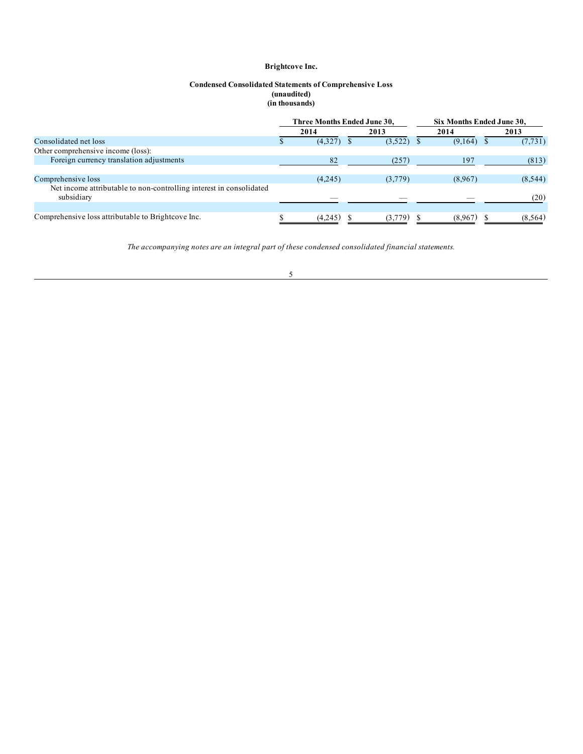## **Condensed Consolidated Statements of Comprehensive Loss (unaudited) (in thousands)**

<span id="page-4-0"></span>

|                                                                     | Three Months Ended June 30, |         |  |         | Six Months Ended June 30, |              |  |          |
|---------------------------------------------------------------------|-----------------------------|---------|--|---------|---------------------------|--------------|--|----------|
|                                                                     |                             | 2014    |  | 2013    |                           | 2014         |  | 2013     |
| Consolidated net loss                                               |                             | (4,327) |  | (3,522) |                           | $(9,164)$ \$ |  | (7, 731) |
| Other comprehensive income (loss):                                  |                             |         |  |         |                           |              |  |          |
| Foreign currency translation adjustments                            |                             | 82      |  | (257)   |                           | 197          |  | (813)    |
|                                                                     |                             |         |  |         |                           |              |  |          |
| Comprehensive loss                                                  |                             | (4,245) |  | (3,779) |                           | (8,967)      |  | (8, 544) |
| Net income attributable to non-controlling interest in consolidated |                             |         |  |         |                           |              |  |          |
| subsidiary                                                          |                             |         |  |         |                           |              |  | (20)     |
|                                                                     |                             |         |  |         |                           |              |  |          |
| Comprehensive loss attributable to Brightcove Inc.                  |                             | (4,245) |  | (3,779) |                           | (8,967)      |  | (8, 564) |

*The accompanying notes are an integral part of these condensed consolidated financial statements.*

# 5

<u> 1980 - Johann Barbara, martxa amerikan personal (h. 1980).</u>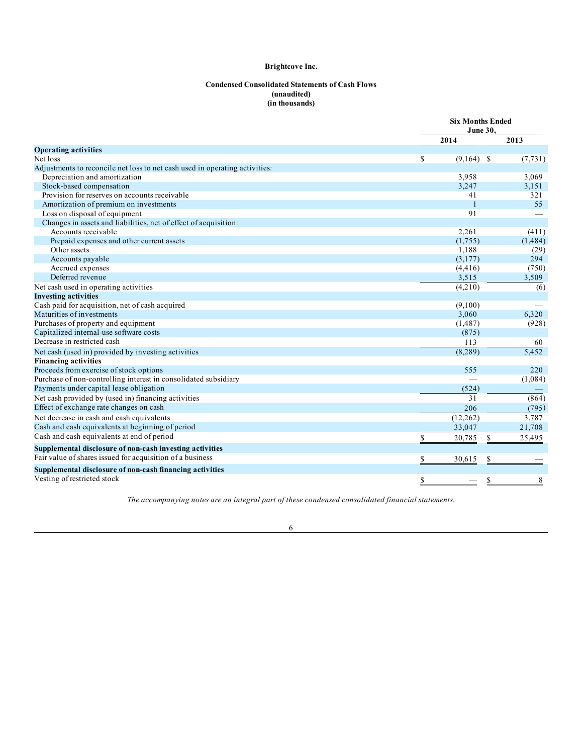# **Condensed Consolidated Statements of Cash Flows (unaudited) (in thousands)**

<span id="page-5-0"></span>

|                                                                             |    | <b>Six Months Ended</b><br><b>June 30,</b> |               |          |  |  |
|-----------------------------------------------------------------------------|----|--------------------------------------------|---------------|----------|--|--|
|                                                                             |    | 2014                                       |               | 2013     |  |  |
| <b>Operating activities</b>                                                 |    |                                            |               |          |  |  |
| Net loss                                                                    | \$ | (9,164)                                    | <sup>\$</sup> | (7, 731) |  |  |
| Adjustments to reconcile net loss to net cash used in operating activities: |    |                                            |               |          |  |  |
| Depreciation and amortization                                               |    | 3,958                                      |               | 3,069    |  |  |
| Stock-based compensation                                                    |    | 3,247                                      |               | 3,151    |  |  |
| Provision for reserves on accounts receivable                               |    | 41                                         |               | 321      |  |  |
| Amortization of premium on investments                                      |    |                                            |               | 55       |  |  |
| Loss on disposal of equipment                                               |    | 91                                         |               |          |  |  |
| Changes in assets and liabilities, net of effect of acquisition:            |    |                                            |               |          |  |  |
| Accounts receivable                                                         |    | 2,261                                      |               | (411)    |  |  |
| Prepaid expenses and other current assets                                   |    | (1,755)                                    |               | (1, 484) |  |  |
| Other assets                                                                |    | 1,188                                      |               | (29)     |  |  |
| Accounts payable                                                            |    | (3,177)                                    |               | 294      |  |  |
| Accrued expenses                                                            |    | (4, 416)                                   |               | (750)    |  |  |
| Deferred revenue                                                            |    | 3,515                                      |               | 3,509    |  |  |
| Net cash used in operating activities                                       |    | (4,210)                                    |               | (6)      |  |  |
| <b>Investing activities</b>                                                 |    |                                            |               |          |  |  |
| Cash paid for acquisition, net of cash acquired                             |    | (9,100)                                    |               |          |  |  |
| Maturities of investments                                                   |    | 3,060                                      |               | 6,320    |  |  |
| Purchases of property and equipment                                         |    | (1,487)                                    |               | (928)    |  |  |
| Capitalized internal-use software costs                                     |    | (875)                                      |               |          |  |  |
| Decrease in restricted cash                                                 |    | 113                                        |               | 60       |  |  |
| Net cash (used in) provided by investing activities                         |    | (8, 289)                                   |               | 5,452    |  |  |
| <b>Financing activities</b>                                                 |    |                                            |               |          |  |  |
| Proceeds from exercise of stock options                                     |    | 555                                        |               | 220      |  |  |
| Purchase of non-controlling interest in consolidated subsidiary             |    |                                            |               | (1,084)  |  |  |
| Payments under capital lease obligation                                     |    | (524)                                      |               |          |  |  |
| Net cash provided by (used in) financing activities                         |    | 31                                         |               | (864)    |  |  |
| Effect of exchange rate changes on cash                                     |    | 206                                        |               | (795)    |  |  |
| Net decrease in cash and cash equivalents                                   |    | (12, 262)                                  |               | 3,787    |  |  |
| Cash and cash equivalents at beginning of period                            |    | 33,047                                     |               | 21,708   |  |  |
| Cash and cash equivalents at end of period                                  | \$ | 20,785                                     | \$            | 25,495   |  |  |
| Supplemental disclosure of non-cash investing activities                    |    |                                            |               |          |  |  |
| Fair value of shares issued for acquisition of a business                   | S  | 30,615                                     | S             |          |  |  |
| Supplemental disclosure of non-cash financing activities                    |    |                                            |               |          |  |  |
| Vesting of restricted stock                                                 | \$ |                                            | \$            | 8        |  |  |

*The accompanying notes are an integral part of these condensed consolidated financial statements.*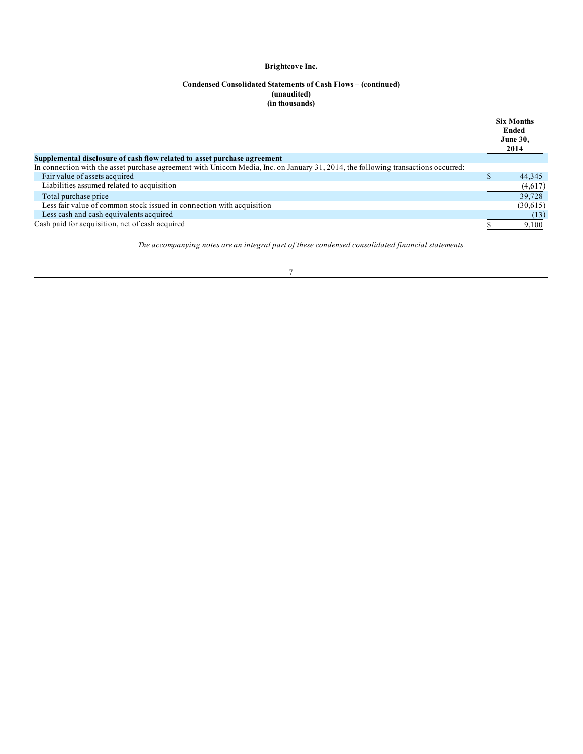## **Condensed Consolidated Statements of Cash Flows – (continued) (unaudited) (in thousands)**

|                                                                                                                                    | <b>Six Months</b><br>Ended<br><b>June 30,</b><br>2014 |
|------------------------------------------------------------------------------------------------------------------------------------|-------------------------------------------------------|
| Supplemental disclosure of cash flow related to asset purchase agreement                                                           |                                                       |
| In connection with the asset purchase agreement with Unicorn Media, Inc. on January 31, 2014, the following transactions occurred: |                                                       |
| Fair value of assets acquired                                                                                                      | 44.345                                                |
| Liabilities assumed related to acquisition                                                                                         | (4,617)                                               |
| Total purchase price                                                                                                               | 39.728                                                |
| Less fair value of common stock issued in connection with acquisition                                                              | (30,615)                                              |
| Less cash and cash equivalents acquired                                                                                            | (13)                                                  |
| Cash paid for acquisition, net of cash acquired                                                                                    | 9.100                                                 |

*The accompanying notes are an integral part of these condensed consolidated financial statements.*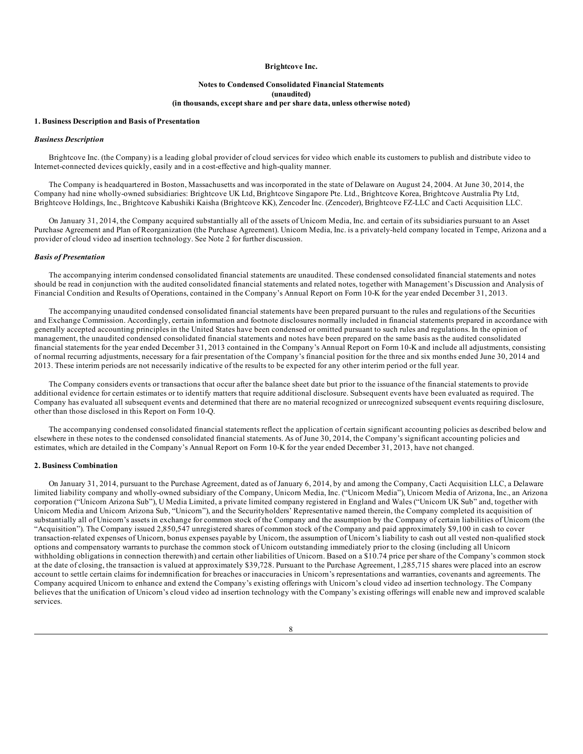### **Notes to Condensed Consolidated Financial Statements (unaudited) (in thousands, except share and per share data, unless otherwise noted)**

#### <span id="page-7-0"></span>**1. Business Description and Basis of Presentation**

#### *Business Description*

Brightcove Inc. (the Company) is a leading global provider of cloud services for video which enable its customers to publish and distribute video to Internet-connected devices quickly, easily and in a cost-effective and high-quality manner.

The Company is headquartered in Boston, Massachusetts and was incorporated in the state of Delaware on August 24, 2004. At June 30, 2014, the Company had nine wholly-owned subsidiaries: Brightcove UK Ltd, Brightcove Singapore Pte. Ltd., Brightcove Korea, Brightcove Australia Pty Ltd, Brightcove Holdings, Inc., Brightcove Kabushiki Kaisha (Brightcove KK), Zencoder Inc. (Zencoder), Brightcove FZ-LLC and Cacti Acquisition LLC.

On January 31, 2014, the Company acquired substantially all of the assets of Unicorn Media, Inc. and certain of its subsidiaries pursuant to an Asset Purchase Agreement and Plan of Reorganization (the Purchase Agreement). Unicorn Media, Inc. is a privately-held company located in Tempe, Arizona and a provider of cloud video ad insertion technology. See Note 2 for further discussion.

### *Basis of Presentation*

The accompanying interim condensed consolidated financial statements are unaudited. These condensed consolidated financial statements and notes should be read in conjunction with the audited consolidated financial statements and related notes, together with Management's Discussion and Analysis of Financial Condition and Results of Operations, contained in the Company's Annual Report on Form 10-K for the year ended December 31, 2013.

The accompanying unaudited condensed consolidated financial statements have been prepared pursuant to the rules and regulations of the Securities and Exchange Commission. Accordingly, certain information and footnote disclosures normally included in financial statements prepared in accordance with generally accepted accounting principles in the United States have been condensed or omitted pursuant to such rules and regulations. In the opinion of management, the unaudited condensed consolidated financial statements and notes have been prepared on the same basis as the audited consolidated financial statements for the year ended December 31, 2013 contained in the Company's Annual Report on Form 10-K and include all adjustments, consisting of normal recurring adjustments, necessary for a fair presentation of the Company's financial position for the three and six months ended June 30, 2014 and 2013. These interim periods are not necessarily indicative of the results to be expected for any other interim period or the full year.

The Company considers events or transactions that occur after the balance sheet date but prior to the issuance of the financial statements to provide additional evidence for certain estimates or to identify matters that require additional disclosure. Subsequent events have been evaluated as required. The Company has evaluated all subsequent events and determined that there are no material recognized or unrecognized subsequent events requiring disclosure, other than those disclosed in this Report on Form 10-Q.

The accompanying condensed consolidated financial statements reflect the application of certain significant accounting policies as described below and elsewhere in these notes to the condensed consolidated financial statements. As of June 30, 2014, the Company's significant accounting policies and estimates, which are detailed in the Company's Annual Report on Form 10-K for the year ended December 31, 2013, have not changed.

### **2. Business Combination**

On January 31, 2014, pursuant to the Purchase Agreement, dated as of January 6, 2014, by and among the Company, Cacti Acquisition LLC, a Delaware limited liability company and wholly-owned subsidiary of the Company, Unicorn Media, Inc. ("Unicorn Media"), Unicorn Media of Arizona, Inc., an Arizona corporation ("Unicorn Arizona Sub"), U Media Limited, a private limited company registered in England and Wales ("Unicorn UK Sub" and, together with Unicorn Media and Unicorn Arizona Sub, "Unicorn"), and the Securityholders' Representative named therein, the Company completed its acquisition of substantially all of Unicorn's assets in exchange for common stock of the Company and the assumption by the Company of certain liabilities of Unicorn (the "Acquisition"). The Company issued 2,850,547 unregistered shares of common stock of the Company and paid approximately \$9,100 in cash to cover transaction-related expenses of Unicorn, bonus expenses payable by Unicorn, the assumption of Unicorn's liability to cash out all vested non-qualified stock options and compensatory warrants to purchase the common stock of Unicorn outstanding immediately prior to the closing (including all Unicorn withholding obligations in connection therewith) and certain other liabilities of Unicorn. Based on a \$10.74 price per share of the Company's common stock at the date of closing, the transaction is valued at approximately \$39,728. Pursuant to the Purchase Agreement, 1,285,715 shares were placed into an escrow account to settle certain claims for indemnification for breaches or inaccuracies in Unicorn's representations and warranties, covenants and agreements. The Company acquired Unicorn to enhance and extend the Company's existing offerings with Unicorn's cloud video ad insertion technology. The Company believes that the unification of Unicorn's cloud video ad insertion technology with the Company's existing offerings will enable new and improved scalable services.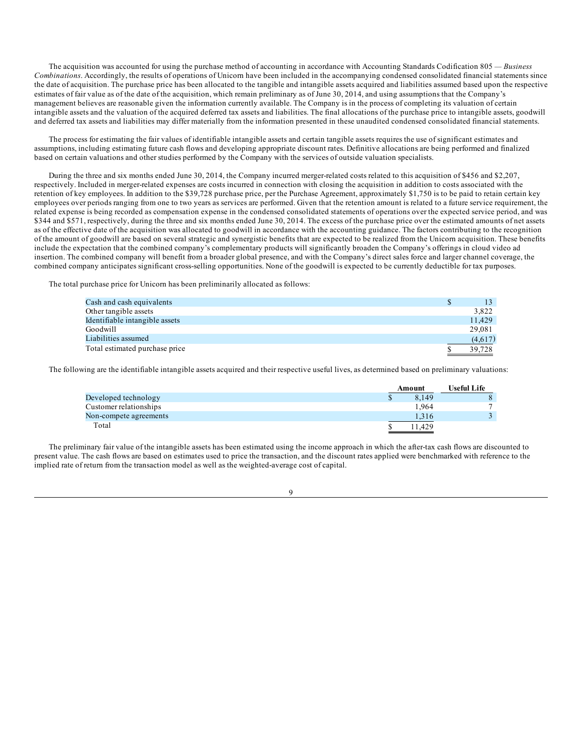The acquisition was accounted for using the purchase method of accounting in accordance with Accounting Standards Codification 805 *— Business Combinations*. Accordingly, the results of operations of Unicorn have been included in the accompanying condensed consolidated financial statements since the date of acquisition. The purchase price has been allocated to the tangible and intangible assets acquired and liabilities assumed based upon the respective estimates of fair value as of the date of the acquisition, which remain preliminary as of June 30, 2014, and using assumptions that the Company's management believes are reasonable given the information currently available. The Company is in the process of completing its valuation of certain intangible assets and the valuation of the acquired deferred tax assets and liabilities. The final allocations of the purchase price to intangible assets, goodwill and deferred tax assets and liabilities may differ materially from the information presented in these unaudited condensed consolidated financial statements.

The process for estimating the fair values of identifiable intangible assets and certain tangible assets requires the use of significant estimates and assumptions, including estimating future cash flows and developing appropriate discount rates. Definitive allocations are being performed and finalized based on certain valuations and other studies performed by the Company with the services of outside valuation specialists.

During the three and six months ended June 30, 2014, the Company incurred merger-related costs related to this acquisition of \$456 and \$2,207, respectively. Included in merger-related expenses are costs incurred in connection with closing the acquisition in addition to costs associated with the retention of key employees. In addition to the \$39,728 purchase price, per the Purchase Agreement, approximately \$1,750 is to be paid to retain certain key employees over periods ranging from one to two years as services are performed. Given that the retention amount is related to a future service requirement, the related expense is being recorded as compensation expense in the condensed consolidated statements of operations over the expected service period, and was \$344 and \$571, respectively, during the three and six months ended June 30, 2014. The excess of the purchase price over the estimated amounts of net assets as of the effective date of the acquisition was allocated to goodwill in accordance with the accounting guidance. The factors contributing to the recognition of the amount of goodwill are based on several strategic and synergistic benefits that are expected to be realized from the Unicorn acquisition. These benefits include the expectation that the combined company's complementary products will significantly broaden the Company's offerings in cloud video ad insertion. The combined company will benefit from a broader global presence, and with the Company's direct sales force and larger channel coverage, the combined company anticipates significant cross-selling opportunities. None of the goodwill is expected to be currently deductible for tax purposes.

The total purchase price for Unicorn has been preliminarily allocated as follows:

| Cash and cash equivalents      |         |
|--------------------------------|---------|
| Other tangible assets          | 3.822   |
| Identifiable intangible assets | 11,429  |
| Goodwill                       | 29,081  |
| Liabilities assumed            | (4,617) |
| Total estimated purchase price | 39.728  |

The following are the identifiable intangible assets acquired and their respective useful lives, as determined based on preliminary valuations:

|                        | Amount | <b>Useful Life</b> |
|------------------------|--------|--------------------|
| Developed technology   | 8.149  |                    |
| Customer relationships | 1.964  | $\overline{ }$     |
| Non-compete agreements | 1.316  |                    |
| Total                  | 1.429  |                    |

The preliminary fair value of the intangible assets has been estimated using the income approach in which the after-tax cash flows are discounted to present value. The cash flows are based on estimates used to price the transaction, and the discount rates applied were benchmarked with reference to the implied rate of return from the transaction model as well as the weighted-average cost of capital.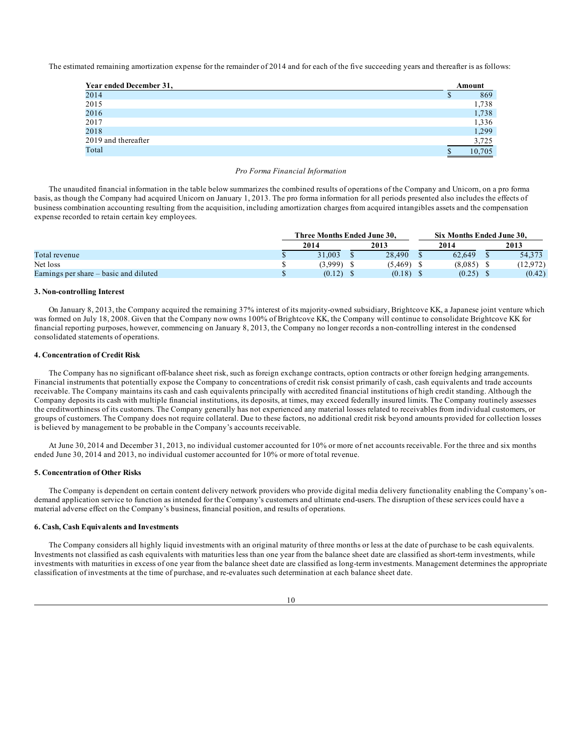The estimated remaining amortization expense for the remainder of 2014 and for each of the five succeeding years and thereafter is as follows:

| Year ended December 31, |    | Amount |
|-------------------------|----|--------|
| 2014                    | D  | 869    |
| 2015                    |    | 1,738  |
| 2016                    |    | 1,738  |
| 2017                    |    | 1,336  |
| 2018                    |    | 1,299  |
| 2019 and thereafter     |    | 3,725  |
| Total                   | ъĐ | 10,705 |
|                         |    |        |

#### *Pro Forma Financial Information*

The unaudited financial information in the table below summarizes the combined results of operations of the Company and Unicorn, on a pro forma basis, as though the Company had acquired Unicorn on January 1, 2013. The pro forma information for all periods presented also includes the effects of business combination accounting resulting from the acquisition, including amortization charges from acquired intangibles assets and the compensation expense recorded to retain certain key employees.

|                                        | Three Months Ended June 30. |  |         | Six Months Ended June 30. |         |  |           |  |
|----------------------------------------|-----------------------------|--|---------|---------------------------|---------|--|-----------|--|
|                                        | 2014                        |  | 2013    |                           | 2014    |  | 2013      |  |
| Total revenue                          | 31,003                      |  | 28,490  |                           | 62.649  |  | 54.373    |  |
| Net loss                               | (3.999)                     |  | (5.469) |                           | (8.085) |  | (12, 972) |  |
| Earnings per share – basic and diluted | (0.12)                      |  | (0.18)  |                           | (0.25)  |  | (0.42)    |  |

### **3. Non-controlling Interest**

On January 8, 2013, the Company acquired the remaining 37% interest of its majority-owned subsidiary, Brightcove KK, a Japanese joint venture which was formed on July 18, 2008. Given that the Company now owns 100% of Brightcove KK, the Company will continue to consolidate Brightcove KK for financial reporting purposes, however, commencing on January 8, 2013, the Company no longer records a non-controlling interest in the condensed consolidated statements of operations.

#### **4. Concentration of Credit Risk**

The Company has no significant off-balance sheet risk, such as foreign exchange contracts, option contracts or other foreign hedging arrangements. Financial instruments that potentially expose the Company to concentrations of credit risk consist primarily of cash, cash equivalents and trade accounts receivable. The Company maintains its cash and cash equivalents principally with accredited financial institutions of high credit standing. Although the Company deposits its cash with multiple financial institutions, its deposits, at times, may exceed federally insured limits. The Company routinely assesses the creditworthiness of its customers. The Company generally has not experienced any material losses related to receivables from individual customers, or groups of customers. The Company does not require collateral. Due to these factors, no additional credit risk beyond amounts provided for collection losses is believed by management to be probable in the Company's accounts receivable.

At June 30, 2014 and December 31, 2013, no individual customer accounted for 10% or more of net accounts receivable. For the three and six months ended June 30, 2014 and 2013, no individual customer accounted for 10% or more of total revenue.

### **5. Concentration of Other Risks**

The Company is dependent on certain content delivery network providers who provide digital media delivery functionality enabling the Company's ondemand application service to function as intended for the Company's customers and ultimate end-users. The disruption of these services could have a material adverse effect on the Company's business, financial position, and results of operations.

### **6. Cash, Cash Equivalents and Investments**

The Company considers all highly liquid investments with an original maturity of three months or less at the date of purchase to be cash equivalents. Investments not classified as cash equivalents with maturities less than one year from the balance sheet date are classified as short-term investments, while investments with maturities in excess of one year from the balance sheet date are classified as long-term investments. Management determines the appropriate classification of investments at the time of purchase, and re-evaluates such determination at each balance sheet date.

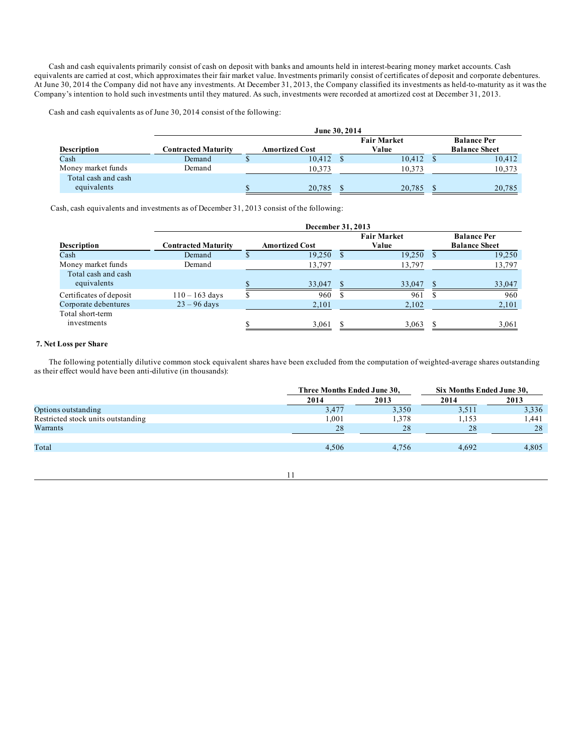Cash and cash equivalents primarily consist of cash on deposit with banks and amounts held in interest-bearing money market accounts. Cash equivalents are carried at cost, which approximates their fair market value. Investments primarily consist of certificates of deposit and corporate debentures. At June 30, 2014 the Company did not have any investments. At December 31, 2013, the Company classified its investments as held-to-maturity as it was the Company's intention to hold such investments until they matured. As such, investments were recorded at amortized cost at December 31, 2013.

Cash and cash equivalents as of June 30, 2014 consist of the following:

| Description                        | June 30, 2014       |  |                       |                             |        |  |                                            |  |  |  |
|------------------------------------|---------------------|--|-----------------------|-----------------------------|--------|--|--------------------------------------------|--|--|--|
|                                    | Contracted Maturitv |  | <b>Amortized Cost</b> | <b>Fair Market</b><br>Value |        |  | <b>Balance Per</b><br><b>Balance Sheet</b> |  |  |  |
| Cash                               | Demand              |  | 10,412                |                             | 10,412 |  | 10,412                                     |  |  |  |
| Money market funds                 | Demand              |  | 10.373                |                             | 10.373 |  | 10,373                                     |  |  |  |
| Total cash and cash<br>equivalents |                     |  | 20,785                |                             | 20,785 |  | 20,785                                     |  |  |  |

Cash, cash equivalents and investments as of December 31, 2013 consist of the following:

|                                    | December 31, 2013          |  |                       |                             |        |  |                                            |  |  |  |
|------------------------------------|----------------------------|--|-----------------------|-----------------------------|--------|--|--------------------------------------------|--|--|--|
| Description                        | <b>Contracted Maturity</b> |  | <b>Amortized Cost</b> | <b>Fair Market</b><br>Value |        |  | <b>Balance Per</b><br><b>Balance Sheet</b> |  |  |  |
| Cash                               | Demand                     |  | 19,250                |                             | 19,250 |  | 19,250                                     |  |  |  |
| Money market funds                 | Demand                     |  | 13,797                |                             | 13,797 |  | 13,797                                     |  |  |  |
| Total cash and cash<br>equivalents |                            |  | 33,047                |                             | 33,047 |  | 33,047                                     |  |  |  |
| Certificates of deposit            | $110 - 163$ days           |  | 960                   |                             | 961    |  | 960                                        |  |  |  |
| Corporate debentures               | $23 - 96$ days             |  | 2,101                 |                             | 2,102  |  | 2,101                                      |  |  |  |
| Total short-term<br>investments    |                            |  | 3.061                 |                             | 3.063  |  | 3,061                                      |  |  |  |

## **7. Net Loss per Share**

The following potentially dilutive common stock equivalent shares have been excluded from the computation of weighted-average shares outstanding as their effect would have been anti-dilutive (in thousands):

|                                    | Three Months Ended June 30, |       | Six Months Ended June 30, |       |
|------------------------------------|-----------------------------|-------|---------------------------|-------|
|                                    | 2014                        | 2013  | 2014                      | 2013  |
| Options outstanding                | 3.477                       | 3.350 | 3,511                     | 3,336 |
| Restricted stock units outstanding | 1.001                       | 1.378 | 1.153                     | 1,441 |
| Warrants                           | 28                          | 28    | 28                        | 28    |
|                                    |                             |       |                           |       |
| Total                              | 4.506                       | 4.756 | 4.692                     | 4,805 |
|                                    |                             |       |                           |       |

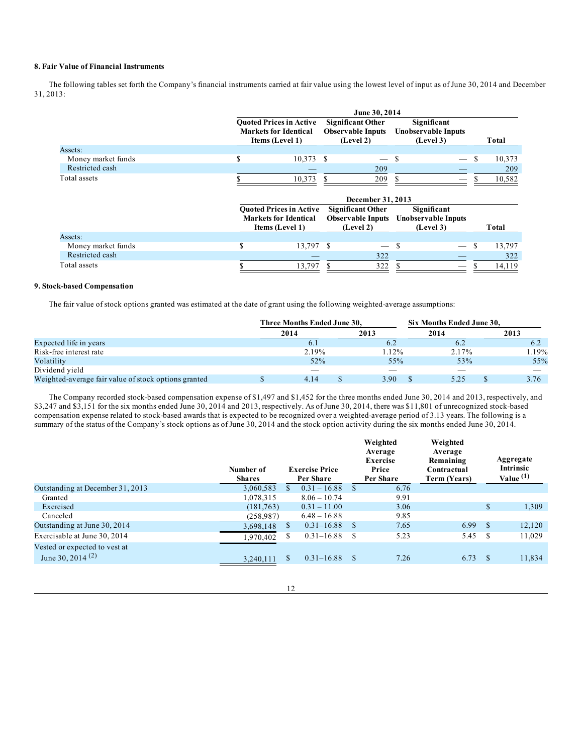# **8. Fair Value of Financial Instruments**

The following tables set forth the Company's financial instruments carried at fair value using the lowest level of input as of June 30, 2014 and December 31, 2013:

|                    |                                                                                   |                                                                   | June 30, 2014                                                     |                                                        |                                                 |     |        |  |
|--------------------|-----------------------------------------------------------------------------------|-------------------------------------------------------------------|-------------------------------------------------------------------|--------------------------------------------------------|-------------------------------------------------|-----|--------|--|
|                    | <b>Ouoted Prices in Active</b><br><b>Markets for Identical</b><br>Items (Level 1) | <b>Significant Other</b><br><b>Observable Inputs</b><br>(Level 2) |                                                                   | Significant<br><b>Unobservable Inputs</b><br>(Level 3) |                                                 |     | Total  |  |
| Assets:            |                                                                                   |                                                                   |                                                                   |                                                        |                                                 |     |        |  |
| Money market funds | \$<br>10,373                                                                      | -S                                                                | $\overline{\phantom{0}}$                                          | <sup>\$</sup>                                          |                                                 | S   | 10,373 |  |
| Restricted cash    |                                                                                   |                                                                   | 209                                                               |                                                        |                                                 |     | 209    |  |
| Total assets       | 10,373                                                                            |                                                                   | 209                                                               |                                                        |                                                 |     | 10,582 |  |
|                    | December 31, 2013                                                                 |                                                                   |                                                                   |                                                        |                                                 |     |        |  |
|                    | <b>Ouoted Prices in Active</b><br><b>Markets for Identical</b><br>Items (Level 1) |                                                                   | <b>Significant Other</b><br><b>Observable Inputs</b><br>(Level 2) |                                                        | Significant<br>Unobservable Inputs<br>(Level 3) |     | Total  |  |
| Assets:            |                                                                                   |                                                                   |                                                                   |                                                        |                                                 |     |        |  |
| Money market funds | \$<br>13,797 \$                                                                   |                                                                   |                                                                   | S                                                      |                                                 | \$. | 13,797 |  |
| Restricted cash    |                                                                                   |                                                                   | 322                                                               |                                                        |                                                 |     | 322    |  |
| Total assets       | \$<br>13.797                                                                      |                                                                   | 322                                                               | S                                                      |                                                 |     | 14,119 |  |

#### **9. Stock-based Compensation**

The fair value of stock options granted was estimated at the date of grant using the following weighted-average assumptions:

|                                                      | Three Months Ended June 30. |      | Six Months Ended June 30. |      |      |  |
|------------------------------------------------------|-----------------------------|------|---------------------------|------|------|--|
|                                                      | 2014                        | 2013 | 2014                      | 2013 |      |  |
| Expected life in years                               | 6.1                         | 6.2  | 6.2                       |      | 6.2  |  |
| Risk-free interest rate                              | 2.19%                       | 12%  | 2.17%                     |      | .19% |  |
| Volatility                                           | 52%                         | 55%  | 53%                       |      | 55%  |  |
| Dividend yield                                       | $\overline{\phantom{a}}$    |      |                           |      |      |  |
| Weighted-average fair value of stock options granted | 4.14                        | 3.90 | 5.25                      |      | 3.76 |  |

The Company recorded stock-based compensation expense of \$1,497 and \$1,452 for the three months ended June 30, 2014 and 2013, respectively, and \$3,247 and \$3,151 for the six months ended June 30, 2014 and 2013, respectively. As of June 30, 2014, there was \$11,801 of unrecognized stock-based compensation expense related to stock-based awards that is expected to be recognized over a weighted-average period of 3.13 years. The following is a summary of the status of the Company's stock options as of June 30, 2014 and the stock option activity during the six months ended June 30, 2014.

|                                                      | Number of<br><b>Shares</b> |    | <b>Exercise Price</b><br>Per Share |      | Weighted<br>Average<br>Exercise<br>Price<br>Per Share | Weighted<br>Average<br>Remaining<br>Contractual<br>Term (Years) |              | Aggregate<br>Intrinsic<br>Value $(1)$ |
|------------------------------------------------------|----------------------------|----|------------------------------------|------|-------------------------------------------------------|-----------------------------------------------------------------|--------------|---------------------------------------|
| Outstanding at December 31, 2013                     | 3,060,583                  | S. | $0.31 - 16.88$                     |      | 6.76                                                  |                                                                 |              |                                       |
| Granted                                              | 1.078.315                  |    | $8.06 - 10.74$                     |      | 9.91                                                  |                                                                 |              |                                       |
| Exercised                                            | (181.763)                  |    | $0.31 - 11.00$                     |      | 3.06                                                  |                                                                 | \$           | 1,309                                 |
| Canceled                                             | (258,987)                  |    | $6.48 - 16.88$                     |      | 9.85                                                  |                                                                 |              |                                       |
| Outstanding at June 30, 2014                         | 3,698,148                  | S. | $0.31 - 16.88$                     | - \$ | 7.65                                                  | 6.99                                                            | <sup>S</sup> | 12,120                                |
| Exercisable at June 30, 2014                         | 1,970,402                  | ъ. | $0.31 - 16.88$                     | - \$ | 5.23                                                  | 5.45 \$                                                         |              | 11,029                                |
| Vested or expected to vest at<br>June 30, 2014 $(2)$ | 3,240,111                  | S. | $0.31 - 16.88$                     |      | 7.26                                                  | 6.73 \$                                                         |              | 11,834                                |
|                                                      |                            |    |                                    |      |                                                       |                                                                 |              |                                       |

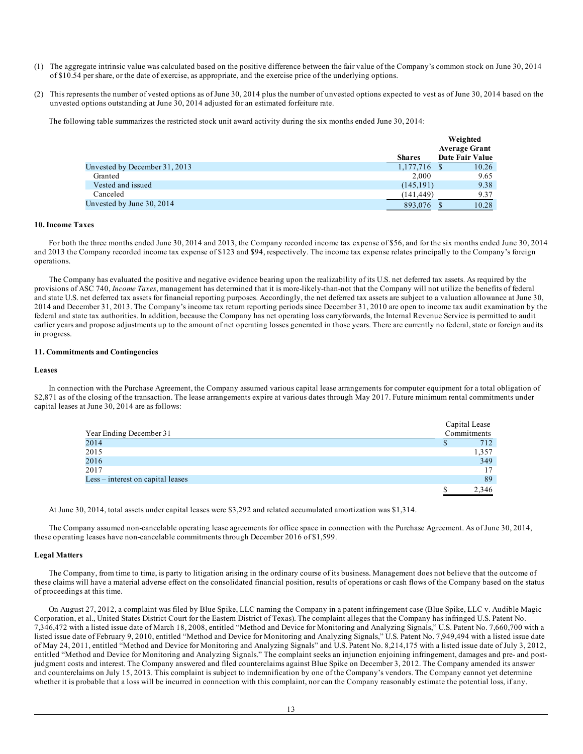- (1) The aggregate intrinsic value was calculated based on the positive difference between the fair value of the Company's common stock on June 30, 2014 of \$10.54 per share, or the date of exercise, as appropriate, and the exercise price of the underlying options.
- (2) This represents the number of vested options as of June 30, 2014 plus the number of unvested options expected to vest as of June 30, 2014 based on the unvested options outstanding at June 30, 2014 adjusted for an estimated forfeiture rate.

The following table summarizes the restricted stock unit award activity during the six months ended June 30, 2014:

|                               |               | Weighted<br><b>Average Grant</b> |
|-------------------------------|---------------|----------------------------------|
|                               | <b>Shares</b> | Date Fair Value                  |
| Unvested by December 31, 2013 | 1,177,716 \$  | 10.26                            |
| Granted                       | 2.000         | 9.65                             |
| Vested and issued             | (145,191)     | 9.38                             |
| Canceled                      | (141.449)     | 9.37                             |
| Unvested by June 30, 2014     | 893,076       | 10.28                            |

### **10. Income Taxes**

For both the three months ended June 30, 2014 and 2013, the Company recorded income tax expense of \$56, and for the six months ended June 30, 2014 and 2013 the Company recorded income tax expense of \$123 and \$94, respectively. The income tax expense relates principally to the Company's foreign operations.

The Company has evaluated the positive and negative evidence bearing upon the realizability of its U.S. net deferred tax assets. As required by the provisions of ASC 740, *Income Taxes*, management has determined that it is more-likely-than-not that the Company will not utilize the benefits of federal and state U.S. net deferred tax assets for financial reporting purposes. Accordingly, the net deferred tax assets are subject to a valuation allowance at June 30, 2014 and December 31, 2013. The Company's income tax return reporting periods since December 31, 2010 are open to income tax audit examination by the federal and state tax authorities. In addition, because the Company has net operating loss carryforwards, the Internal Revenue Service is permitted to audit earlier years and propose adjustments up to the amount of net operating losses generated in those years. There are currently no federal, state or foreign audits in progress.

### **11. Commitments and Contingencies**

### **Leases**

In connection with the Purchase Agreement, the Company assumed various capital lease arrangements for computer equipment for a total obligation of \$2,871 as of the closing of the transaction. The lease arrangements expire at various dates through May 2017. Future minimum rental commitments under capital leases at June 30, 2014 are as follows:

|                                   | Capital Lease |       |
|-----------------------------------|---------------|-------|
| Year Ending December 31           | Commitments   |       |
| 2014                              |               | 712   |
| 2015                              |               | 1,357 |
| 2016                              |               | 349   |
| 2017                              |               | 17    |
| Less – interest on capital leases |               | 89    |
|                                   | S             | 2.346 |

At June 30, 2014, total assets under capital leases were \$3,292 and related accumulated amortization was \$1,314.

The Company assumed non-cancelable operating lease agreements for office space in connection with the Purchase Agreement. As of June 30, 2014, these operating leases have non-cancelable commitments through December 2016 of \$1,599.

### **Legal Matters**

The Company, from time to time, is party to litigation arising in the ordinary course of its business. Management does not believe that the outcome of these claims will have a material adverse effect on the consolidated financial position, results of operations or cash flows of the Company based on the status of proceedings at this time.

On August 27, 2012, a complaint was filed by Blue Spike, LLC naming the Company in a patent infringement case (Blue Spike, LLC v. Audible Magic Corporation, et al., United States District Court for the Eastern District of Texas). The complaint alleges that the Company has infringed U.S. Patent No. 7,346,472 with a listed issue date of March 18, 2008, entitled "Method and Device for Monitoring and Analyzing Signals," U.S. Patent No. 7,660,700 with a listed issue date of February 9, 2010, entitled "Method and Device for Monitoring and Analyzing Signals," U.S. Patent No. 7,949,494 with a listed issue date of May 24, 2011, entitled "Method and Device for Monitoring and Analyzing Signals" and U.S. Patent No. 8,214,175 with a listed issue date of July 3, 2012, entitled "Method and Device for Monitoring and Analyzing Signals." The complaint seeks an injunction enjoining infringement, damages and pre- and postjudgment costs and interest. The Company answered and filed counterclaims against Blue Spike on December 3, 2012. The Company amended its answer and counterclaims on July 15, 2013. This complaint is subject to indemnification by one of the Company's vendors. The Company cannot yet determine whether it is probable that a loss will be incurred in connection with this complaint, nor can the Company reasonably estimate the potential loss, if any.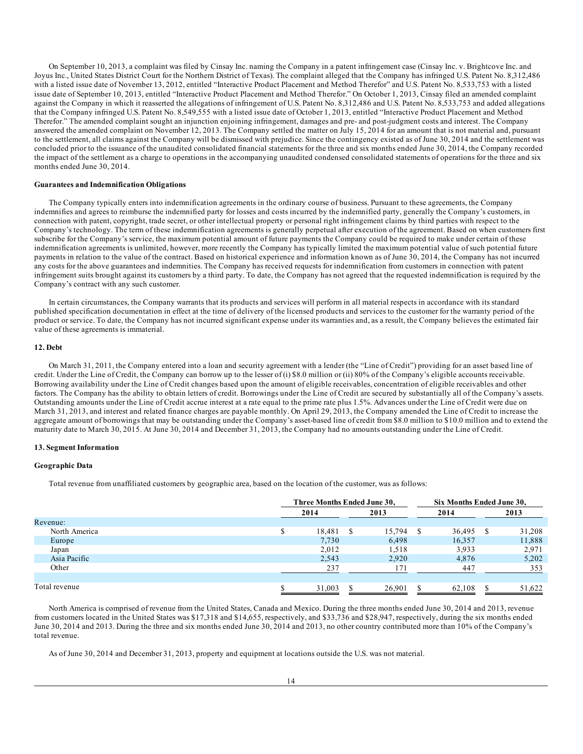On September 10, 2013, a complaint was filed by Cinsay Inc. naming the Company in a patent infringement case (Cinsay Inc. v. Brightcove Inc. and Joyus Inc., United States District Court for the Northern District of Texas). The complaint alleged that the Company has infringed U.S. Patent No. 8,312,486 with a listed issue date of November 13, 2012, entitled "Interactive Product Placement and Method Therefor" and U.S. Patent No. 8,533,753 with a listed issue date of September 10, 2013, entitled "Interactive Product Placement and Method Therefor." On October 1, 2013, Cinsay filed an amended complaint against the Company in which it reasserted the allegations of infringement of U.S. Patent No. 8,312,486 and U.S. Patent No. 8,533,753 and added allegations that the Company infringed U.S. Patent No. 8,549,555 with a listed issue date of October 1, 2013, entitled "Interactive Product Placement and Method Therefor." The amended complaint sought an injunction enjoining infringement, damages and pre- and post-judgment costs and interest. The Company answered the amended complaint on November 12, 2013. The Company settled the matter on July 15, 2014 for an amount that is not material and, pursuant to the settlement, all claims against the Company will be dismissed with prejudice. Since the contingency existed as of June 30, 2014 and the settlement was concluded prior to the issuance of the unaudited consolidated financial statements for the three and six months ended June 30, 2014, the Company recorded the impact of the settlement as a charge to operations in the accompanying unaudited condensed consolidated statements of operations for the three and six months ended June 30, 2014.

### **Guarantees and Indemnification Obligations**

The Company typically enters into indemnification agreements in the ordinary course of business. Pursuant to these agreements, the Company indemnifies and agrees to reimburse the indemnified party for losses and costs incurred by the indemnified party, generally the Company's customers, in connection with patent, copyright, trade secret, or other intellectual property or personal right infringement claims by third parties with respect to the Company's technology. The term of these indemnification agreements is generally perpetual after execution of the agreement. Based on when customers first subscribe for the Company's service, the maximum potential amount of future payments the Company could be required to make under certain of these indemnification agreements is unlimited, however, more recently the Company has typically limited the maximum potential value of such potential future payments in relation to the value of the contract. Based on historical experience and information known as of June 30, 2014, the Company has not incurred any costs for the above guarantees and indemnities. The Company has received requests for indemnification from customers in connection with patent infringement suits brought against its customers by a third party. To date, the Company has not agreed that the requested indemnification is required by the Company's contract with any such customer.

In certain circumstances, the Company warrants that its products and services will perform in all material respects in accordance with its standard published specification documentation in effect at the time of delivery of the licensed products and services to the customer for the warranty period of the product or service. To date, the Company has not incurred significant expense under its warranties and, as a result, the Company believes the estimated fair value of these agreements is immaterial.

### **12. Debt**

On March 31, 2011, the Company entered into a loan and security agreement with a lender (the "Line of Credit") providing for an asset based line of credit. Under the Line of Credit, the Company can borrow up to the lesser of (i) \$8.0 million or (ii) 80% of the Company's eligible accounts receivable. Borrowing availability under the Line of Credit changes based upon the amount of eligible receivables, concentration of eligible receivables and other factors. The Company has the ability to obtain letters of credit. Borrowings under the Line of Credit are secured by substantially all of the Company's assets. Outstanding amounts under the Line of Credit accrue interest at a rate equal to the prime rate plus 1.5%. Advances under the Line of Credit were due on March 31, 2013, and interest and related finance charges are payable monthly. On April 29, 2013, the Company amended the Line of Credit to increase the aggregate amount of borrowings that may be outstanding under the Company's asset-based line of credit from \$8.0 million to \$10.0 million and to extend the maturity date to March 30, 2015. At June 30, 2014 and December 31, 2013, the Company had no amounts outstanding under the Line of Credit.

### **13. Segment Information**

#### **Geographic Data**

Total revenue from unaffiliated customers by geographic area, based on the location of the customer, was as follows:

|               | Three Months Ended June 30, |   | Six Months Ended June 30, |   |        |     |        |
|---------------|-----------------------------|---|---------------------------|---|--------|-----|--------|
|               | 2014                        |   | 2013                      |   | 2014   |     | 2013   |
| Revenue:      |                             |   |                           |   |        |     |        |
| North America | \$<br>18,481                | S | 15,794                    | S | 36,495 | - S | 31,208 |
| Europe        | 7,730                       |   | 6,498                     |   | 16,357 |     | 11,888 |
| Japan         | 2,012                       |   | 1,518                     |   | 3,933  |     | 2,971  |
| Asia Pacific  | 2,543                       |   | 2.920                     |   | 4,876  |     | 5,202  |
| Other         | 237                         |   | 171                       |   | 447    |     | 353    |
|               |                             |   |                           |   |        |     |        |
| Total revenue | 31,003                      |   | 26.901                    |   | 62,108 |     | 51,622 |

North America is comprised of revenue from the United States, Canada and Mexico. During the three months ended June 30, 2014 and 2013, revenue from customers located in the United States was \$17,318 and \$14,655, respectively, and \$33,736 and \$28,947, respectively, during the six months ended June 30, 2014 and 2013. During the three and six months ended June 30, 2014 and 2013, no other country contributed more than 10% of the Company's total revenue.

As of June 30, 2014 and December 31, 2013, property and equipment at locations outside the U.S. was not material.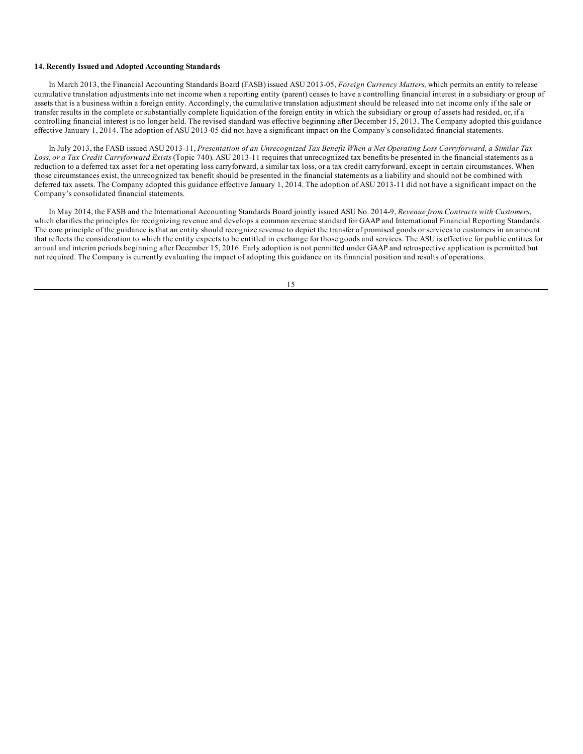### **14. Recently Issued and Adopted Accounting Standards**

In March 2013, the Financial Accounting Standards Board (FASB) issued ASU 2013-05, *Foreign Currency Matters,* which permits an entity to release cumulative translation adjustments into net income when a reporting entity (parent) ceases to have a controlling financial interest in a subsidiary or group of assets that is a business within a foreign entity. Accordingly, the cumulative translation adjustment should be released into net income only if the sale or transfer results in the complete or substantially complete liquidation of the foreign entity in which the subsidiary or group of assets had resided, or, if a controlling financial interest is no longer held. The revised standard was effective beginning after December 15, 2013. The Company adopted this guidance effective January 1, 2014. The adoption of ASU 2013-05 did not have a significant impact on the Company's consolidated financial statements.

In July 2013, the FASB issued ASU 2013-11, Presentation of an Unrecognized Tax Benefit When a Net Operating Loss Carryforward, a Similar Tax *Loss, or a Tax Credit Carryforward Exists* (Topic 740). ASU 2013-11 requires that unrecognized tax benefits be presented in the financial statements as a reduction to a deferred tax asset for a net operating loss carryforward, a similar tax loss, or a tax credit carryforward, except in certain circumstances. When those circumstances exist, the unrecognized tax benefit should be presented in the financial statements as a liability and should not be combined with deferred tax assets. The Company adopted this guidance effective January 1, 2014. The adoption of ASU 2013-11 did not have a significant impact on the Company's consolidated financial statements.

In May 2014, the FASB and the International Accounting Standards Board jointly issued ASU No. 2014-9, *Revenue from Contracts with Customers*, which clarifies the principles for recognizing revenue and develops a common revenue standard for GAAP and International Financial Reporting Standards. The core principle of the guidance is that an entity should recognize revenue to depict the transfer of promised goods or services to customers in an amount that reflects the consideration to which the entity expects to be entitled in exchange for those goods and services. The ASU is effective for public entities for annual and interim periods beginning after December 15, 2016. Early adoption is not permitted under GAAP and retrospective application is permitted but not required. The Company is currently evaluating the impact of adopting this guidance on its financial position and results of operations.

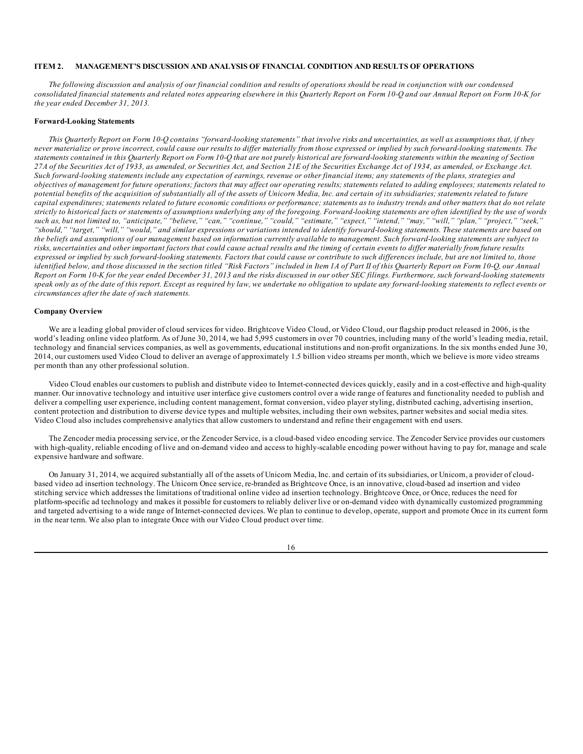## <span id="page-15-0"></span>**ITEM 2. MANAGEMENT'S DISCUSSION AND ANALYSIS OF FINANCIAL CONDITION AND RESULTS OF OPERATIONS**

The following discussion and analysis of our financial condition and results of operations should be read in conjunction with our condensed consolidated financial statements and related notes appearing elsewhere in this Quarterly Report on Form 10-Q and our Annual Report on Form 10-K for *the year ended December 31, 2013.*

### **Forward-Looking Statements**

This Quarterly Report on Form 10-Q contains "forward-looking statements" that involve risks and uncertainties, as well as assumptions that, if they never materialize or prove incorrect, could cause our results to differ materially from those expressed or implied by such forward-looking statements. The statements contained in this Quarterly Report on Form 10-Q that are not purely historical are forward-looking statements within the meaning of Section 27A of the Securities Act of 1933, as amended, or Securities Act, and Section 21E of the Securities Exchange Act of 1934, as amended, or Exchange Act. Such forward-looking statements include any expectation of earnings, revenue or other financial items; any statements of the plans, strategies and objectives of management for future operations; factors that may affect our operating results; statements related to adding employees; statements related to potential benefits of the acquisition of substantially all of the assets of Unicorn Media, Inc. and certain of its subsidiaries; statements related to future capital expenditures; statements related to future economic conditions or performance; statements as to industry trends and other matters that do not relate strictly to historical facts or statements of assumptions underlying any of the foregoing. Forward-looking statements are often identified by the use of words such as, but not limited to, "anticipate," "believe," "can," "continue," "could," "estimate," "expect," "intend," "may," "will," "plan," "project," "seek," "should," "target," "will," "would," and similar expressions or variations intended to identify forward-looking statements. These statements are based on the beliefs and assumptions of our management based on information currently available to management. Such forward-looking statements are subject to risks, uncertainties and other important factors that could cause actual results and the timing of certain events to differ materially from future results expressed or implied by such forward-looking statements. Factors that could cause or contribute to such differences include, but are not limited to, those identified below, and those discussed in the section titled "Risk Factors" included in Item 1A of Part II of this Quarterly Report on Form 10-Q, our Annual Report on Form 10-K for the year ended December 31, 2013 and the risks discussed in our other SEC filings. Furthermore, such forward-looking statements speak only as of the date of this report. Except as required by law, we undertake no obligation to update any forward-looking statements to reflect events or *circumstances after the date of such statements.*

### **Company Overview**

We are a leading global provider of cloud services for video. Brightcove Video Cloud, or Video Cloud, our flagship product released in 2006, is the world's leading online video platform. As of June 30, 2014, we had 5,995 customers in over 70 countries, including many of the world's leading media, retail, technology and financial services companies, as well as governments, educational institutions and non-profit organizations. In the six months ended June 30, 2014, our customers used Video Cloud to deliver an average of approximately 1.5 billion video streams per month, which we believe is more video streams per month than any other professional solution.

Video Cloud enables our customers to publish and distribute video to Internet-connected devices quickly, easily and in a cost-effective and high-quality manner. Our innovative technology and intuitive user interface give customers control over a wide range of features and functionality needed to publish and deliver a compelling user experience, including content management, format conversion, video player styling, distributed caching, advertising insertion, content protection and distribution to diverse device types and multiple websites, including their own websites, partner websites and social media sites. Video Cloud also includes comprehensive analytics that allow customers to understand and refine their engagement with end users.

The Zencoder media processing service, or the Zencoder Service, is a cloud-based video encoding service. The Zencoder Service provides our customers with high-quality, reliable encoding of live and on-demand video and access to highly-scalable encoding power without having to pay for, manage and scale expensive hardware and software.

On January 31, 2014, we acquired substantially all of the assets of Unicorn Media, Inc. and certain of its subsidiaries, or Unicorn, a provider of cloudbased video ad insertion technology. The Unicorn Once service, re-branded as Brightcove Once, is an innovative, cloud-based ad insertion and video stitching service which addresses the limitations of traditional online video ad insertion technology. Brightcove Once, or Once, reduces the need for platform-specific ad technology and makes it possible for customers to reliably deliver live or on-demand video with dynamically customized programming and targeted advertising to a wide range of Internet-connected devices. We plan to continue to develop, operate, support and promote Once in its current form in the near term. We also plan to integrate Once with our Video Cloud product over time.

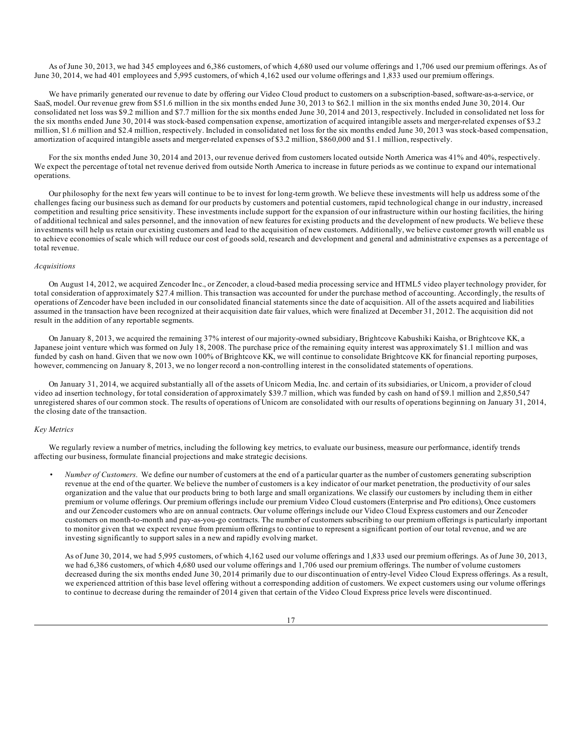As of June 30, 2013, we had 345 employees and 6,386 customers, of which 4,680 used our volume offerings and 1,706 used our premium offerings. As of June 30, 2014, we had 401 employees and 5,995 customers, of which 4,162 used our volume offerings and 1,833 used our premium offerings.

We have primarily generated our revenue to date by offering our Video Cloud product to customers on a subscription-based, software-as-a-service, or SaaS, model. Our revenue grew from \$51.6 million in the six months ended June 30, 2013 to \$62.1 million in the six months ended June 30, 2014. Our consolidated net loss was \$9.2 million and \$7.7 million for the six months ended June 30, 2014 and 2013, respectively. Included in consolidated net loss for the six months ended June 30, 2014 was stock-based compensation expense, amortization of acquired intangible assets and merger-related expenses of \$3.2 million, \$1.6 million and \$2.4 million, respectively. Included in consolidated net loss for the six months ended June 30, 2013 was stock-based compensation, amortization of acquired intangible assets and merger-related expenses of \$3.2 million, \$860,000 and \$1.1 million, respectively.

For the six months ended June 30, 2014 and 2013, our revenue derived from customers located outside North America was 41% and 40%, respectively. We expect the percentage of total net revenue derived from outside North America to increase in future periods as we continue to expand our international operations.

Our philosophy for the next few years will continue to be to invest for long-term growth. We believe these investments will help us address some of the challenges facing our business such as demand for our products by customers and potential customers, rapid technological change in our industry, increased competition and resulting price sensitivity. These investments include support for the expansion of our infrastructure within our hosting facilities, the hiring of additional technical and sales personnel, and the innovation of new features for existing products and the development of new products. We believe these investments will help us retain our existing customers and lead to the acquisition of new customers. Additionally, we believe customer growth will enable us to achieve economies of scale which will reduce our cost of goods sold, research and development and general and administrative expenses as a percentage of total revenue.

### *Acquisitions*

On August 14, 2012, we acquired Zencoder Inc., or Zencoder, a cloud-based media processing service and HTML5 video player technology provider, for total consideration of approximately \$27.4 million. This transaction was accounted for under the purchase method of accounting. Accordingly, the results of operations of Zencoder have been included in our consolidated financial statements since the date of acquisition. All of the assets acquired and liabilities assumed in the transaction have been recognized at their acquisition date fair values, which were finalized at December 31, 2012. The acquisition did not result in the addition of any reportable segments.

On January 8, 2013, we acquired the remaining 37% interest of our majority-owned subsidiary, Brightcove Kabushiki Kaisha, or Brightcove KK, a Japanese joint venture which was formed on July 18, 2008. The purchase price of the remaining equity interest was approximately \$1.1 million and was funded by cash on hand. Given that we now own 100% of Brightcove KK, we will continue to consolidate Brightcove KK for financial reporting purposes, however, commencing on January 8, 2013, we no longer record a non-controlling interest in the consolidated statements of operations.

On January 31, 2014, we acquired substantially all of the assets of Unicorn Media, Inc. and certain of its subsidiaries, or Unicorn, a provider of cloud video ad insertion technology, for total consideration of approximately \$39.7 million, which was funded by cash on hand of \$9.1 million and 2,850,547 unregistered shares of our common stock. The results of operations of Unicorn are consolidated with our results of operations beginning on January 31, 2014, the closing date of the transaction.

### *Key Metrics*

We regularly review a number of metrics, including the following key metrics, to evaluate our business, measure our performance, identify trends affecting our business, formulate financial projections and make strategic decisions.

• *Number of Customers*. We define our number of customers at the end of a particular quarter as the number of customers generating subscription revenue at the end of the quarter. We believe the number of customers is a key indicator of our market penetration, the productivity of our sales organization and the value that our products bring to both large and small organizations. We classify our customers by including them in either premium or volume offerings. Our premium offerings include our premium Video Cloud customers (Enterprise and Pro editions), Once customers and our Zencoder customers who are on annual contracts. Our volume offerings include our Video Cloud Express customers and our Zencoder customers on month-to-month and pay-as-you-go contracts. The number of customers subscribing to our premium offerings is particularly important to monitor given that we expect revenue from premium offerings to continue to represent a significant portion of our total revenue, and we are investing significantly to support sales in a new and rapidly evolving market.

As of June 30, 2014, we had 5,995 customers, of which 4,162 used our volume offerings and 1,833 used our premium offerings. As of June 30, 2013, we had 6,386 customers, of which 4,680 used our volume offerings and 1,706 used our premium offerings. The number of volume customers decreased during the six months ended June 30, 2014 primarily due to our discontinuation of entry-level Video Cloud Express offerings. As a result, we experienced attrition of this base level offering without a corresponding addition of customers. We expect customers using our volume offerings to continue to decrease during the remainder of 2014 given that certain of the Video Cloud Express price levels were discontinued.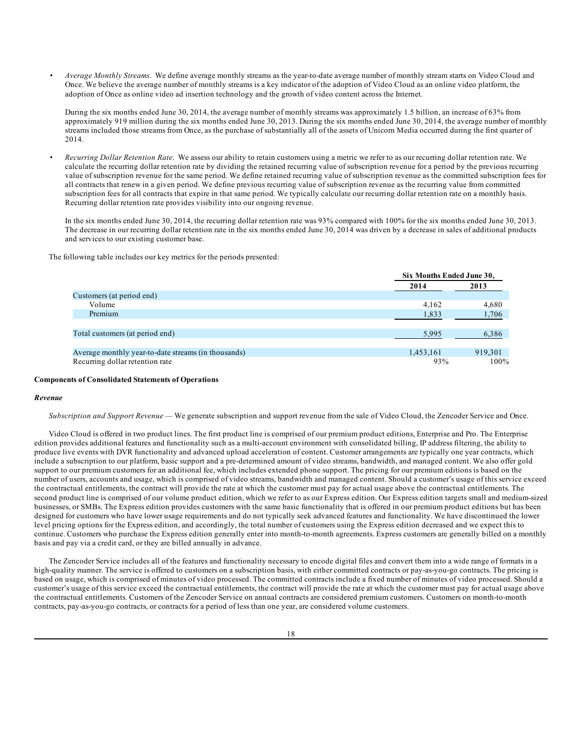• *Average Monthly Streams*. We define average monthly streams as the year-to-date average number of monthly stream starts on Video Cloud and Once. We believe the average number of monthly streams is a key indicator of the adoption of Video Cloud as an online video platform, the adoption of Once as online video ad insertion technology and the growth of video content across the Internet.

During the six months ended June 30, 2014, the average number of monthly streams was approximately 1.5 billion, an increase of 63% from approximately 919 million during the six months ended June 30, 2013. During the six months ended June 30, 2014, the average number of monthly streams included those streams from Once, as the purchase of substantially all of the assets of Unicorn Media occurred during the first quarter of 2014.

• *Recurring Dollar Retention Rate*. We assess our ability to retain customers using a metric we refer to as our recurring dollar retention rate. We calculate the recurring dollar retention rate by dividing the retained recurring value of subscription revenue for a period by the previous recurring value of subscription revenue for the same period. We define retained recurring value of subscription revenue as the committed subscription fees for all contracts that renew in a given period. We define previous recurring value of subscription revenue as the recurring value from committed subscription fees for all contracts that expire in that same period. We typically calculate our recurring dollar retention rate on a monthly basis. Recurring dollar retention rate provides visibility into our ongoing revenue.

In the six months ended June 30, 2014, the recurring dollar retention rate was 93% compared with 100% for the six months ended June 30, 2013. The decrease in our recurring dollar retention rate in the six months ended June 30, 2014 was driven by a decrease in sales of additional products and services to our existing customer base.

The following table includes our key metrics for the periods presented:

|                                                     | Six Months Ended June 30, |         |
|-----------------------------------------------------|---------------------------|---------|
|                                                     | 2014                      | 2013    |
| Customers (at period end)                           |                           |         |
| Volume                                              | 4,162                     | 4,680   |
| Premium                                             | 1,833                     | 1,706   |
|                                                     |                           |         |
| Total customers (at period end)                     | 5,995                     | 6,386   |
|                                                     |                           |         |
| Average monthly year-to-date streams (in thousands) | 1,453,161                 | 919.301 |
| Recurring dollar retention rate                     | 93%                       | $100\%$ |
|                                                     |                           |         |

### **Components of Consolidated Statements of Operations**

#### *Revenue*

*Subscription and Support Revenue —* We generate subscription and support revenue from the sale of Video Cloud, the Zencoder Service and Once.

Video Cloud is offered in two product lines. The first product line is comprised of our premium product editions, Enterprise and Pro. The Enterprise edition provides additional features and functionality such as a multi-account environment with consolidated billing, IP address filtering, the ability to produce live events with DVR functionality and advanced upload acceleration of content. Customer arrangements are typically one year contracts, which include a subscription to our platform, basic support and a pre-determined amount of video streams, bandwidth, and managed content. We also offer gold support to our premium customers for an additional fee, which includes extended phone support. The pricing for our premium editions is based on the number of users, accounts and usage, which is comprised of video streams, bandwidth and managed content. Should a customer's usage of this service exceed the contractual entitlements, the contract will provide the rate at which the customer must pay for actual usage above the contractual entitlements. The second product line is comprised of our volume product edition, which we refer to as our Express edition. Our Express edition targets small and medium-sized businesses, or SMBs. The Express edition provides customers with the same basic functionality that is offered in our premium product editions but has been designed for customers who have lower usage requirements and do not typically seek advanced features and functionality. We have discontinued the lower level pricing options for the Express edition, and accordingly, the total number of customers using the Express edition decreased and we expect this to continue. Customers who purchase the Express edition generally enter into month-to-month agreements. Express customers are generally billed on a monthly basis and pay via a credit card, or they are billed annually in advance.

The Zencoder Service includes all of the features and functionality necessary to encode digital files and convert them into a wide range of formats in a high-quality manner. The service is offered to customers on a subscription basis, with either committed contracts or pay-as-you-go contracts. The pricing is based on usage, which is comprised of minutes of video processed. The committed contracts include a fixed number of minutes of video processed. Should a customer's usage of this service exceed the contractual entitlements, the contract will provide the rate at which the customer must pay for actual usage above the contractual entitlements. Customers of the Zencoder Service on annual contracts are considered premium customers. Customers on month-to-month contracts, pay-as-you-go contracts, or contracts for a period of less than one year, are considered volume customers.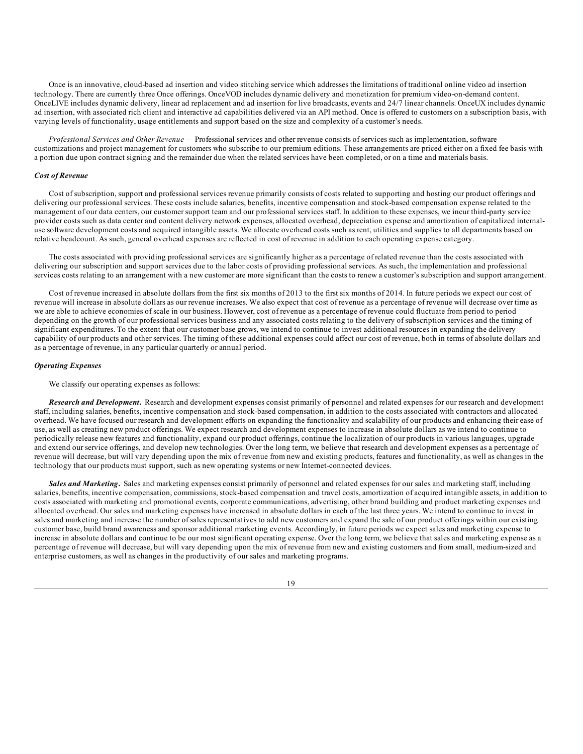Once is an innovative, cloud-based ad insertion and video stitching service which addresses the limitations of traditional online video ad insertion technology. There are currently three Once offerings. OnceVOD includes dynamic delivery and monetization for premium video-on-demand content. OnceLIVE includes dynamic delivery, linear ad replacement and ad insertion for live broadcasts, events and 24/7 linear channels. OnceUX includes dynamic ad insertion, with associated rich client and interactive ad capabilities delivered via an API method. Once is offered to customers on a subscription basis, with varying levels of functionality, usage entitlements and support based on the size and complexity of a customer's needs.

*Professional Services and Other Revenue —* Professional services and other revenue consists of services such as implementation, software customizations and project management for customers who subscribe to our premium editions. These arrangements are priced either on a fixed fee basis with a portion due upon contract signing and the remainder due when the related services have been completed, or on a time and materials basis.

### *Cost of Revenue*

Cost of subscription, support and professional services revenue primarily consists of costs related to supporting and hosting our product offerings and delivering our professional services. These costs include salaries, benefits, incentive compensation and stock-based compensation expense related to the management of our data centers, our customer support team and our professional services staff. In addition to these expenses, we incur third-party service provider costs such as data center and content delivery network expenses, allocated overhead, depreciation expense and amortization of capitalized internaluse software development costs and acquired intangible assets. We allocate overhead costs such as rent, utilities and supplies to all departments based on relative headcount. As such, general overhead expenses are reflected in cost of revenue in addition to each operating expense category.

The costs associated with providing professional services are significantly higher as a percentage of related revenue than the costs associated with delivering our subscription and support services due to the labor costs of providing professional services. As such, the implementation and professional services costs relating to an arrangement with a new customer are more significant than the costs to renew a customer's subscription and support arrangement.

Cost of revenue increased in absolute dollars from the first six months of 2013 to the first six months of 2014. In future periods we expect our cost of revenue will increase in absolute dollars as our revenue increases. We also expect that cost of revenue as a percentage of revenue will decrease over time as we are able to achieve economies of scale in our business. However, cost of revenue as a percentage of revenue could fluctuate from period to period depending on the growth of our professional services business and any associated costs relating to the delivery of subscription services and the timing of significant expenditures. To the extent that our customer base grows, we intend to continue to invest additional resources in expanding the delivery capability of our products and other services. The timing of these additional expenses could affect our cost of revenue, both in terms of absolute dollars and as a percentage of revenue, in any particular quarterly or annual period.

### *Operating Expenses*

We classify our operating expenses as follows:

*Research and Development***.** Research and development expenses consist primarily of personnel and related expenses for our research and development staff, including salaries, benefits, incentive compensation and stock-based compensation, in addition to the costs associated with contractors and allocated overhead. We have focused our research and development efforts on expanding the functionality and scalability of our products and enhancing their ease of use, as well as creating new product offerings. We expect research and development expenses to increase in absolute dollars as we intend to continue to periodically release new features and functionality, expand our product offerings, continue the localization of our products in various languages, upgrade and extend our service offerings, and develop new technologies. Over the long term, we believe that research and development expenses as a percentage of revenue will decrease, but will vary depending upon the mix of revenue from new and existing products, features and functionality, as well as changes in the technology that our products must support, such as new operating systems or new Internet-connected devices.

*Sales and Marketing***.** Sales and marketing expenses consist primarily of personnel and related expenses for our sales and marketing staff, including salaries, benefits, incentive compensation, commissions, stock-based compensation and travel costs, amortization of acquired intangible assets, in addition to costs associated with marketing and promotional events, corporate communications, advertising, other brand building and product marketing expenses and allocated overhead. Our sales and marketing expenses have increased in absolute dollars in each of the last three years. We intend to continue to invest in sales and marketing and increase the number of sales representatives to add new customers and expand the sale of our product offerings within our existing customer base, build brand awareness and sponsor additional marketing events. Accordingly, in future periods we expect sales and marketing expense to increase in absolute dollars and continue to be our most significant operating expense. Over the long term, we believe that sales and marketing expense as a percentage of revenue will decrease, but will vary depending upon the mix of revenue from new and existing customers and from small, medium-sized and enterprise customers, as well as changes in the productivity of our sales and marketing programs.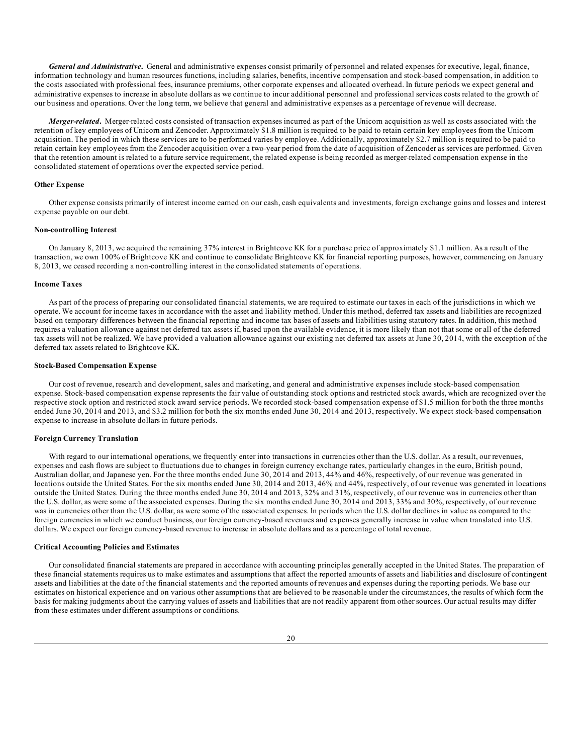*General and Administrative***.** General and administrative expenses consist primarily of personnel and related expenses for executive, legal, finance, information technology and human resources functions, including salaries, benefits, incentive compensation and stock-based compensation, in addition to the costs associated with professional fees, insurance premiums, other corporate expenses and allocated overhead. In future periods we expect general and administrative expenses to increase in absolute dollars as we continue to incur additional personnel and professional services costs related to the growth of our business and operations. Over the long term, we believe that general and administrative expenses as a percentage of revenue will decrease.

Merger-related. Merger-related costs consisted of transaction expenses incurred as part of the Unicorn acquisition as well as costs associated with the retention of key employees of Unicorn and Zencoder. Approximately \$1.8 million is required to be paid to retain certain key employees from the Unicorn acquisition. The period in which these services are to be performed varies by employee. Additionally, approximately \$2.7 million is required to be paid to retain certain key employees from the Zencoder acquisition over a two-year period from the date of acquisition of Zencoder as services are performed. Given that the retention amount is related to a future service requirement, the related expense is being recorded as merger-related compensation expense in the consolidated statement of operations over the expected service period.

#### **Other Expense**

Other expense consists primarily of interest income earned on our cash, cash equivalents and investments, foreign exchange gains and losses and interest expense payable on our debt.

#### **Non-controlling Interest**

On January 8, 2013, we acquired the remaining 37% interest in Brightcove KK for a purchase price of approximately \$1.1 million. As a result of the transaction, we own 100% of Brightcove KK and continue to consolidate Brightcove KK for financial reporting purposes, however, commencing on January 8, 2013, we ceased recording a non-controlling interest in the consolidated statements of operations.

### **Income Taxes**

As part of the process of preparing our consolidated financial statements, we are required to estimate our taxes in each of the jurisdictions in which we operate. We account for income taxes in accordance with the asset and liability method. Under this method, deferred tax assets and liabilities are recognized based on temporary differences between the financial reporting and income tax bases of assets and liabilities using statutory rates. In addition, this method requires a valuation allowance against net deferred tax assets if, based upon the available evidence, it is more likely than not that some or all of the deferred tax assets will not be realized. We have provided a valuation allowance against our existing net deferred tax assets at June 30, 2014, with the exception of the deferred tax assets related to Brightcove KK.

#### **Stock-Based Compensation Expense**

Our cost of revenue, research and development, sales and marketing, and general and administrative expenses include stock-based compensation expense. Stock-based compensation expense represents the fair value of outstanding stock options and restricted stock awards, which are recognized over the respective stock option and restricted stock award service periods. We recorded stock-based compensation expense of \$1.5 million for both the three months ended June 30, 2014 and 2013, and \$3.2 million for both the six months ended June 30, 2014 and 2013, respectively. We expect stock-based compensation expense to increase in absolute dollars in future periods.

### **Foreign Currency Translation**

With regard to our international operations, we frequently enter into transactions in currencies other than the U.S. dollar. As a result, our revenues, expenses and cash flows are subject to fluctuations due to changes in foreign currency exchange rates, particularly changes in the euro, British pound, Australian dollar, and Japanese yen. For the three months ended June 30, 2014 and 2013, 44% and 46%, respectively, of our revenue was generated in locations outside the United States. For the six months ended June 30, 2014 and 2013, 46% and 44%, respectively, of our revenue was generated in locations outside the United States. During the three months ended June 30, 2014 and 2013, 32% and 31%, respectively, of our revenue was in currencies other than the U.S. dollar, as were some of the associated expenses. During the six months ended June 30, 2014 and 2013, 33% and 30%, respectively, of our revenue was in currencies other than the U.S. dollar, as were some of the associated expenses. In periods when the U.S. dollar declines in value as compared to the foreign currencies in which we conduct business, our foreign currency-based revenues and expenses generally increase in value when translated into U.S. dollars. We expect our foreign currency-based revenue to increase in absolute dollars and as a percentage of total revenue.

#### **Critical Accounting Policies and Estimates**

Our consolidated financial statements are prepared in accordance with accounting principles generally accepted in the United States. The preparation of these financial statements requires us to make estimates and assumptions that affect the reported amounts of assets and liabilities and disclosure of contingent assets and liabilities at the date of the financial statements and the reported amounts of revenues and expenses during the reporting periods. We base our estimates on historical experience and on various other assumptions that are believed to be reasonable under the circumstances, the results of which form the basis for making judgments about the carrying values of assets and liabilities that are not readily apparent from other sources. Our actual results may differ from these estimates under different assumptions or conditions.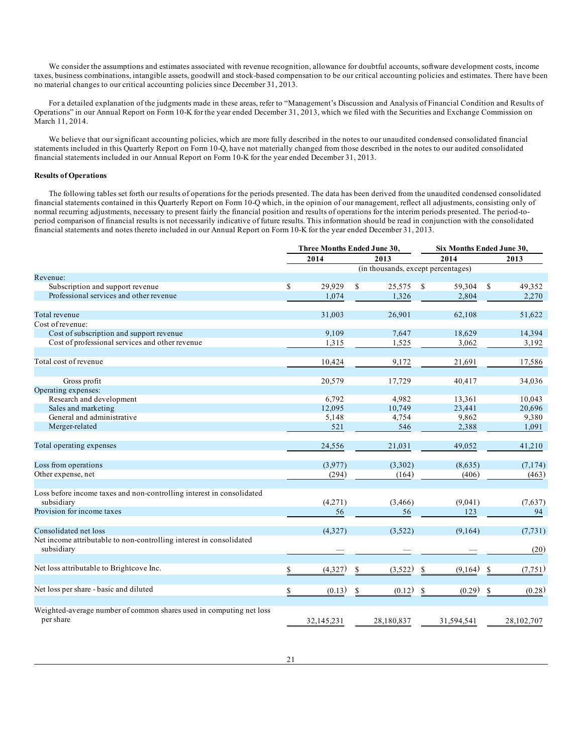We consider the assumptions and estimates associated with revenue recognition, allowance for doubtful accounts, software development costs, income taxes, business combinations, intangible assets, goodwill and stock-based compensation to be our critical accounting policies and estimates. There have been no material changes to our critical accounting policies since December 31, 2013.

For a detailed explanation of the judgments made in these areas, refer to "Management's Discussion and Analysis of Financial Condition and Results of Operations" in our Annual Report on Form 10-K for the year ended December 31, 2013, which we filed with the Securities and Exchange Commission on March 11, 2014.

We believe that our significant accounting policies, which are more fully described in the notes to our unaudited condensed consolidated financial statements included in this Quarterly Report on Form 10-Q, have not materially changed from those described in the notes to our audited consolidated financial statements included in our Annual Report on Form 10-K for the year ended December 31, 2013.

#### **Results of Operations**

The following tables set forth our results of operations for the periods presented. The data has been derived from the unaudited condensed consolidated financial statements contained in this Quarterly Report on Form 10-Q which, in the opinion of our management, reflect all adjustments, consisting only of normal recurring adjustments, necessary to present fairly the financial position and results of operations for the interim periods presented. The period-toperiod comparison of financial results is not necessarily indicative of future results. This information should be read in conjunction with the consolidated financial statements and notes thereto included in our Annual Report on Form 10-K for the year ended December 31, 2013.

|                                                                                   | Three Months Ended June 30, |            |    |                                    | <b>Six Months Ended June 30,</b> |            |    |            |
|-----------------------------------------------------------------------------------|-----------------------------|------------|----|------------------------------------|----------------------------------|------------|----|------------|
|                                                                                   |                             | 2014       |    | 2013                               |                                  | 2014       |    | 2013       |
|                                                                                   |                             |            |    | (in thousands, except percentages) |                                  |            |    |            |
| Revenue:                                                                          |                             |            |    |                                    |                                  |            |    |            |
| Subscription and support revenue                                                  | \$                          | 29,929     | \$ | 25,575                             | <sup>\$</sup>                    | 59,304     | \$ | 49,352     |
| Professional services and other revenue                                           |                             | 1,074      |    | 1,326                              |                                  | 2,804      |    | 2,270      |
| Total revenue                                                                     |                             | 31,003     |    | 26,901                             |                                  | 62,108     |    | 51,622     |
| Cost of revenue:                                                                  |                             |            |    |                                    |                                  |            |    |            |
| Cost of subscription and support revenue                                          |                             | 9,109      |    | 7,647                              |                                  | 18,629     |    | 14,394     |
| Cost of professional services and other revenue                                   |                             | 1,315      |    | 1,525                              |                                  | 3,062      |    | 3,192      |
| Total cost of revenue                                                             |                             | 10,424     |    | 9,172                              |                                  | 21,691     |    | 17,586     |
| Gross profit                                                                      |                             | 20,579     |    | 17,729                             |                                  | 40,417     |    | 34,036     |
| Operating expenses:                                                               |                             |            |    |                                    |                                  |            |    |            |
| Research and development                                                          |                             | 6,792      |    | 4,982                              |                                  | 13,361     |    | 10,043     |
| Sales and marketing                                                               |                             | 12,095     |    | 10,749                             |                                  | 23,441     |    | 20,696     |
| General and administrative                                                        |                             | 5,148      |    | 4,754                              |                                  | 9,862      |    | 9,380      |
| Merger-related                                                                    |                             | 521        |    | 546                                |                                  | 2,388      |    | 1,091      |
| Total operating expenses                                                          |                             | 24,556     |    | 21,031                             |                                  | 49,052     |    | 41,210     |
| Loss from operations                                                              |                             | (3,977)    |    | (3,302)                            |                                  | (8,635)    |    | (7,174)    |
| Other expense, net                                                                |                             | (294)      |    | (164)                              |                                  | (406)      |    | (463)      |
| Loss before income taxes and non-controlling interest in consolidated             |                             |            |    |                                    |                                  |            |    |            |
| subsidiary                                                                        |                             | (4,271)    |    | (3,466)                            |                                  | (9,041)    |    | (7,637)    |
| Provision for income taxes                                                        |                             | 56         |    | 56                                 |                                  | 123        |    | 94         |
| Consolidated net loss                                                             |                             | (4,327)    |    | (3,522)                            |                                  | (9,164)    |    | (7, 731)   |
| Net income attributable to non-controlling interest in consolidated<br>subsidiary |                             |            |    |                                    |                                  |            |    | (20)       |
| Net loss attributable to Brightcove Inc.                                          | S                           | (4,327)    | \$ | (3,522)                            | \$                               | (9,164)    | \$ | (7,751)    |
| Net loss per share - basic and diluted                                            | \$                          | (0.13)     | \$ | (0.12)                             | $\mathbb{S}$                     | (0.29)     | \$ | (0.28)     |
| Weighted-average number of common shares used in computing net loss<br>per share  |                             | 32,145,231 |    | 28,180,837                         |                                  | 31,594,541 |    | 28,102,707 |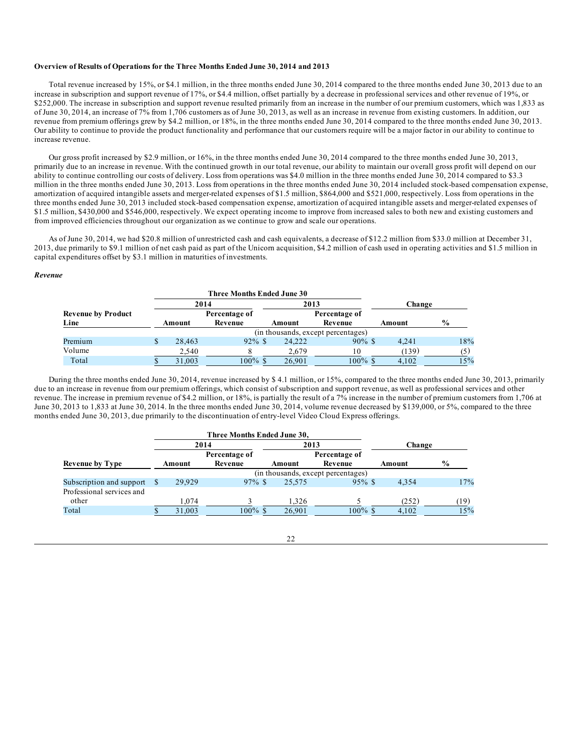# **Overview of Results of Operations for the Three Months Ended June 30, 2014 and 2013**

Total revenue increased by 15%, or \$4.1 million, in the three months ended June 30, 2014 compared to the three months ended June 30, 2013 due to an increase in subscription and support revenue of 17%, or \$4.4 million, offset partially by a decrease in professional services and other revenue of 19%, or \$252,000. The increase in subscription and support revenue resulted primarily from an increase in the number of our premium customers, which was 1,833 as of June 30, 2014, an increase of 7% from 1,706 customers as of June 30, 2013, as well as an increase in revenue from existing customers. In addition, our revenue from premium offerings grew by \$4.2 million, or 18%, in the three months ended June 30, 2014 compared to the three months ended June 30, 2013. Our ability to continue to provide the product functionality and performance that our customers require will be a major factor in our ability to continue to increase revenue.

Our gross profit increased by \$2.9 million, or 16%, in the three months ended June 30, 2014 compared to the three months ended June 30, 2013, primarily due to an increase in revenue. With the continued growth in our total revenue, our ability to maintain our overall gross profit will depend on our ability to continue controlling our costs of delivery. Loss from operations was \$4.0 million in the three months ended June 30, 2014 compared to \$3.3 million in the three months ended June 30, 2013. Loss from operations in the three months ended June 30, 2014 included stock-based compensation expense, amortization of acquired intangible assets and merger-related expenses of \$1.5 million, \$864,000 and \$521,000, respectively. Loss from operations in the three months ended June 30, 2013 included stock-based compensation expense, amortization of acquired intangible assets and merger-related expenses of \$1.5 million, \$430,000 and \$546,000, respectively. We expect operating income to improve from increased sales to both new and existing customers and from improved efficiencies throughout our organization as we continue to grow and scale our operations.

As of June 30, 2014, we had \$20.8 million of unrestricted cash and cash equivalents, a decrease of \$12.2 million from \$33.0 million at December 31, 2013, due primarily to \$9.1 million of net cash paid as part of the Unicorn acquisition, \$4.2 million of cash used in operating activities and \$1.5 million in capital expenditures offset by \$3.1 million in maturities of investments.

#### *Revenue*

|                           |        |                                    | <b>Three Months Ended June 30</b> |        |               |  |        |               |     |  |
|---------------------------|--------|------------------------------------|-----------------------------------|--------|---------------|--|--------|---------------|-----|--|
|                           |        | 2014                               |                                   |        | 2013          |  | Change |               |     |  |
| <b>Revenue by Product</b> |        |                                    | Percentage of                     |        | Percentage of |  |        |               |     |  |
| Line                      | Amount |                                    | Revenue                           | Amount | Revenue       |  | Amount | $\frac{0}{0}$ |     |  |
|                           |        | (in thousands, except percentages) |                                   |        |               |  |        |               |     |  |
| Premium                   |        | 28.463                             | $92\%$ \$                         | 24,222 | $90\%$ \$     |  | 4.241  |               | 18% |  |
| Volume                    |        | 2.540                              |                                   | 2,679  | 10            |  | (139)  |               | (5) |  |
| Total                     |        | 31.003                             | $100\%$ \$                        | 26.901 | $100\%$ \$    |  | 4.102  |               | 15% |  |

During the three months ended June 30, 2014, revenue increased by \$ 4.1 million, or 15%, compared to the three months ended June 30, 2013, primarily due to an increase in revenue from our premium offerings, which consist of subscription and support revenue, as well as professional services and other revenue. The increase in premium revenue of \$4.2 million, or 18%, is partially the result of a 7% increase in the number of premium customers from 1,706 at June 30, 2013 to 1,833 at June 30, 2014. In the three months ended June 30, 2014, volume revenue decreased by \$139,000, or 5%, compared to the three months ended June 30, 2013, due primarily to the discontinuation of entry-level Video Cloud Express offerings.

|                           |      |                                    | Three Months Ended June 30, |        |               |        |        |               |  |  |  |
|---------------------------|------|------------------------------------|-----------------------------|--------|---------------|--------|--------|---------------|--|--|--|
|                           | 2014 |                                    |                             |        | 2013          |        | Change |               |  |  |  |
|                           |      |                                    | Percentage of               |        | Percentage of |        |        |               |  |  |  |
| <b>Revenue by Type</b>    |      | Revenue<br>Amount                  |                             | Amount | Revenue       | Amount |        | $\frac{9}{0}$ |  |  |  |
|                           |      | (in thousands, except percentages) |                             |        |               |        |        |               |  |  |  |
| Subscription and support  |      | 29.929                             | $97\%$ \$                   | 25.575 | $95\%$ \$     |        | 4.354  | 17%           |  |  |  |
| Professional services and |      |                                    |                             |        |               |        |        |               |  |  |  |
| other                     |      | 1.074                              |                             | 1.326  |               |        | (252)  | (19)          |  |  |  |
| Total                     |      | 31.003                             | $100\%$ \$                  | 26.901 | $100\%$ \$    |        | 4,102  | 15%           |  |  |  |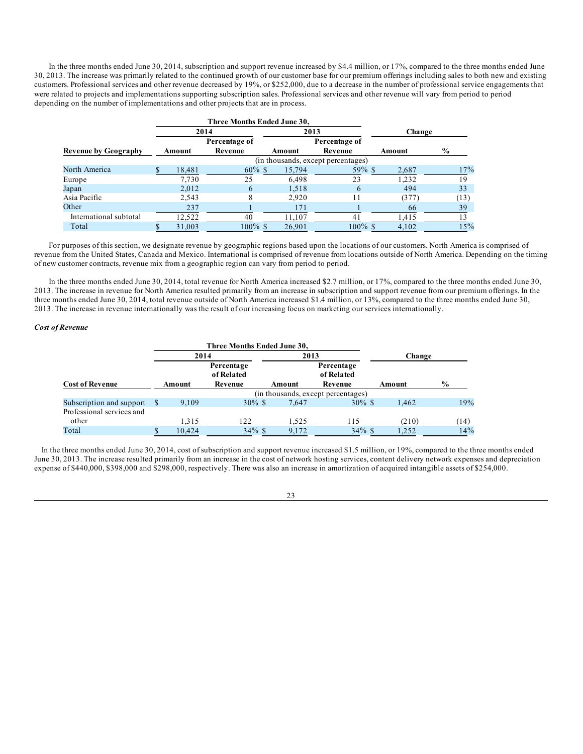In the three months ended June 30, 2014, subscription and support revenue increased by \$4.4 million, or 17%, compared to the three months ended June 30, 2013. The increase was primarily related to the continued growth of our customer base for our premium offerings including sales to both new and existing customers. Professional services and other revenue decreased by 19%, or \$252,000, due to a decrease in the number of professional service engagements that were related to projects and implementations supporting subscription sales. Professional services and other revenue will vary from period to period depending on the number of implementations and other projects that are in process.

|                             |        | Three Months Ended June 30,        |        |               |            |  |        |      |  |  |  |
|-----------------------------|--------|------------------------------------|--------|---------------|------------|--|--------|------|--|--|--|
|                             | 2014   |                                    |        |               | 2013       |  | Change |      |  |  |  |
|                             |        | Percentage of                      |        | Percentage of |            |  |        |      |  |  |  |
| <b>Revenue by Geography</b> | Amount | Revenue                            | Amount |               | Revenue    |  | Amount | $\%$ |  |  |  |
|                             |        | (in thousands, except percentages) |        |               |            |  |        |      |  |  |  |
| North America               | 18,481 | $60\%$ \$                          |        | 15,794        | $59\%$ \$  |  | 2,687  | 17%  |  |  |  |
| Europe                      | 7,730  | 25                                 |        | 6,498         | 23         |  | 1,232  | 19   |  |  |  |
| Japan                       | 2,012  | 6                                  |        | 1,518         |            |  | 494    | 33   |  |  |  |
| Asia Pacific                | 2,543  | 8                                  |        | 2,920         | 11         |  | (377)  | (13) |  |  |  |
| Other                       | 237    |                                    |        | 171           |            |  | 66     | 39   |  |  |  |
| International subtotal      | 12,522 | 40                                 |        | 11,107        | 41         |  | 1,415  | 13   |  |  |  |
| Total                       | 31,003 | $100\%$ \$                         |        | 26.901        | $100\%$ \$ |  | 4.102  | 15%  |  |  |  |

For purposes of this section, we designate revenue by geographic regions based upon the locations of our customers. North America is comprised of revenue from the United States, Canada and Mexico. International is comprised of revenue from locations outside of North America. Depending on the timing of new customer contracts, revenue mix from a geographic region can vary from period to period.

In the three months ended June 30, 2014, total revenue for North America increased \$2.7 million, or 17%, compared to the three months ended June 30, 2013. The increase in revenue for North America resulted primarily from an increase in subscription and support revenue from our premium offerings. In the three months ended June 30, 2014, total revenue outside of North America increased \$1.4 million, or 13%, compared to the three months ended June 30, 2013. The increase in revenue internationally was the result of our increasing focus on marketing our services internationally.

### *Cost of Revenue*

|                             |  |        | Three Months Ended June 30, |        |                                    |        |                |
|-----------------------------|--|--------|-----------------------------|--------|------------------------------------|--------|----------------|
|                             |  | 2014   |                             |        | 2013                               | Change |                |
|                             |  |        | Percentage<br>of Related    |        | Percentage<br>of Related           |        |                |
| <b>Cost of Revenue</b>      |  | Amount | Revenue                     | Amount | Revenue                            | Amount | $\frac{6}{10}$ |
|                             |  |        |                             |        | (in thousands, except percentages) |        |                |
| Subscription and support \$ |  | 9.109  | $30\%$ \$                   | 7.647  | $30\%$ \$                          | 1.462  | 19%            |
| Professional services and   |  |        |                             |        |                                    |        |                |
| other                       |  | 1.315  | 122                         | 1,525  | 115                                | (210)  | (14)           |
| Total                       |  | 10.424 | $34\%$ \$                   | 9.172  | $34\%$ \$                          | 1.252  | 14%            |

In the three months ended June 30, 2014, cost of subscription and support revenue increased \$1.5 million, or 19%, compared to the three months ended June 30, 2013. The increase resulted primarily from an increase in the cost of network hosting services, content delivery network expenses and depreciation expense of \$440,000, \$398,000 and \$298,000, respectively. There was also an increase in amortization of acquired intangible assets of \$254,000.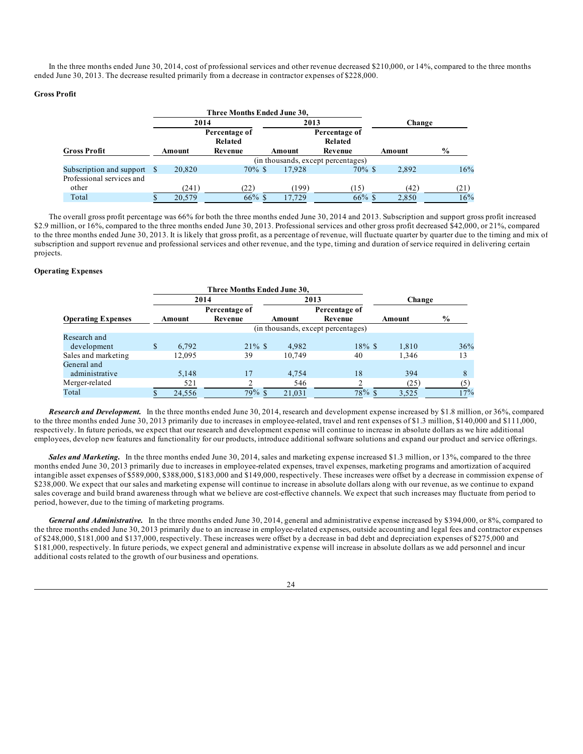In the three months ended June 30, 2014, cost of professional services and other revenue decreased \$210,000, or 14%, compared to the three months ended June 30, 2013. The decrease resulted primarily from a decrease in contractor expenses of \$228,000.

### **Gross Profit**

|                             |        | Three Months Ended June 30,                                 |                                    |           |        |         |           |  |        |               |      |
|-----------------------------|--------|-------------------------------------------------------------|------------------------------------|-----------|--------|---------|-----------|--|--------|---------------|------|
|                             | 2014   |                                                             |                                    | 2013      |        |         | Change    |  |        |               |      |
|                             |        | Percentage of<br>Percentage of<br><b>Related</b><br>Related |                                    |           |        |         |           |  |        |               |      |
| <b>Gross Profit</b>         | Amount |                                                             | Revenue                            |           | Amount | Revenue |           |  | Amount | $\frac{6}{9}$ |      |
|                             |        |                                                             | (in thousands, except percentages) |           |        |         |           |  |        |               |      |
| Subscription and support \$ |        | 20,820                                                      |                                    | $70\%$ \$ | 17.928 |         | $70\%$ \$ |  | 2,892  |               | 16%  |
| Professional services and   |        |                                                             |                                    |           |        |         |           |  |        |               |      |
| other                       |        | (241)                                                       |                                    | (22)      | (199)  |         | (15)      |  | (42)   |               | (21) |
| Total                       |        | 20.579                                                      |                                    | $66\%$ \$ | 17.729 |         | $66\%$ \$ |  | 2,850  |               | 16%  |

The overall gross profit percentage was 66% for both the three months ended June 30, 2014 and 2013. Subscription and support gross profit increased \$2.9 million, or 16%, compared to the three months ended June 30, 2013. Professional services and other gross profit decreased \$42,000, or 21%, compared to the three months ended June 30, 2013. It is likely that gross profit, as a percentage of revenue, will fluctuate quarter by quarter due to the timing and mix of subscription and support revenue and professional services and other revenue, and the type, timing and duration of service required in delivering certain projects.

### **Operating Expenses**

|                           |                                    | Three Months Ended June 30, |        |               |        |      |  |  |  |  |
|---------------------------|------------------------------------|-----------------------------|--------|---------------|--------|------|--|--|--|--|
|                           |                                    | 2014                        |        | 2013          | Change |      |  |  |  |  |
|                           |                                    | Percentage of               |        | Percentage of |        |      |  |  |  |  |
| <b>Operating Expenses</b> | Amount                             | Revenue                     | Amount | Revenue       | Amount | $\%$ |  |  |  |  |
|                           | (in thousands, except percentages) |                             |        |               |        |      |  |  |  |  |
| Research and              |                                    |                             |        |               |        |      |  |  |  |  |
| development               | \$<br>6.792                        | $21\%$ \$                   | 4.982  | $18\%$ \$     | 1.810  | 36%  |  |  |  |  |
| Sales and marketing       | 12,095                             | 39                          | 10.749 | 40            | 1.346  | 13   |  |  |  |  |
| General and               |                                    |                             |        |               |        |      |  |  |  |  |
| administrative            | 5,148                              | 17                          | 4,754  | 18            | 394    | 8    |  |  |  |  |
| Merger-related            | 521                                |                             | 546    | ◠             | (25)   | (5)  |  |  |  |  |
| Total                     | 24,556                             | $79\%$ \$                   | 21,031 | $78\%$ \$     | 3.525  | 17%  |  |  |  |  |

*Research and Development.* In the three months ended June 30, 2014, research and development expense increased by \$1.8 million, or 36%, compared to the three months ended June 30, 2013 primarily due to increases in employee-related, travel and rent expenses of \$1.3 million, \$140,000 and \$111,000, respectively. In future periods, we expect that our research and development expense will continue to increase in absolute dollars as we hire additional employees, develop new features and functionality for our products, introduce additional software solutions and expand our product and service offerings.

**Sales and Marketing.** In the three months ended June 30, 2014, sales and marketing expense increased \$1.3 million, or 13%, compared to the three months ended June 30, 2013 primarily due to increases in employee-related expenses, travel expenses, marketing programs and amortization of acquired intangible asset expenses of \$589,000, \$388,000, \$183,000 and \$149,000, respectively. These increases were offset by a decrease in commission expense of \$238,000. We expect that our sales and marketing expense will continue to increase in absolute dollars along with our revenue, as we continue to expand sales coverage and build brand awareness through what we believe are cost-effective channels. We expect that such increases may fluctuate from period to period, however, due to the timing of marketing programs.

*General and Administrative.* In the three months ended June 30, 2014, general and administrative expense increased by \$394,000, or 8%, compared to the three months ended June 30, 2013 primarily due to an increase in employee-related expenses, outside accounting and legal fees and contractor expenses of \$248,000, \$181,000 and \$137,000, respectively. These increases were offset by a decrease in bad debt and depreciation expenses of \$275,000 and \$181,000, respectively. In future periods, we expect general and administrative expense will increase in absolute dollars as we add personnel and incur additional costs related to the growth of our business and operations.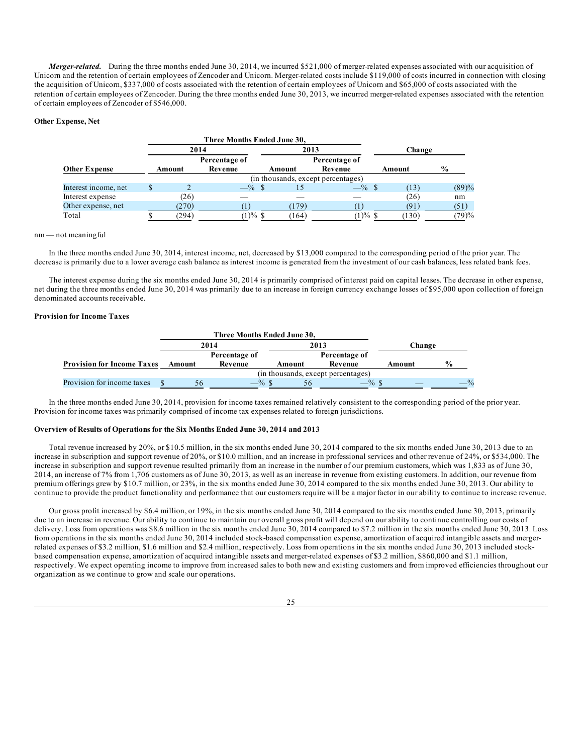*Merger-related.* During the three months ended June 30, 2014, we incurred \$521,000 of merger-related expenses associated with our acquisition of Unicorn and the retention of certain employees of Zencoder and Unicorn. Merger-related costs include \$119,000 of costs incurred in connection with closing the acquisition of Unicorn, \$337,000 of costs associated with the retention of certain employees of Unicorn and \$65,000 of costs associated with the retention of certain employees of Zencoder. During the three months ended June 30, 2013, we incurred merger-related expenses associated with the retention of certain employees of Zencoder of \$546,000.

### **Other Expense, Net**

|                      |                                    | Three Months Ended June 30, |        |               |        |               |  |  |  |  |
|----------------------|------------------------------------|-----------------------------|--------|---------------|--------|---------------|--|--|--|--|
|                      | 2014                               |                             |        | 2013          | Change |               |  |  |  |  |
|                      |                                    | Percentage of               |        | Percentage of |        |               |  |  |  |  |
| <b>Other Expense</b> | Amount                             | Revenue                     | Amount | Revenue       | Amount | $\frac{0}{0}$ |  |  |  |  |
|                      | (in thousands, except percentages) |                             |        |               |        |               |  |  |  |  |
| Interest income, net |                                    | $-\%$ \$                    |        | $-$ % \$      | (13)   | (89)%         |  |  |  |  |
| Interest expense     | (26)                               |                             |        |               | (26)   | nm            |  |  |  |  |
| Other expense, net   | (270)                              |                             | (179)  |               | (91)   | (51)          |  |  |  |  |
| Total                | (294)                              | $1\%$ \$                    | (164)  | $(1) \%$ \$   | (130)  | (79)%         |  |  |  |  |

#### nm — not meaningful

In the three months ended June 30, 2014, interest income, net, decreased by \$13,000 compared to the corresponding period of the prior year. The decrease is primarily due to a lower average cash balance as interest income is generated from the investment of our cash balances, less related bank fees.

The interest expense during the six months ended June 30, 2014 is primarily comprised of interest paid on capital leases. The decrease in other expense, net during the three months ended June 30, 2014 was primarily due to an increase in foreign currency exchange losses of \$95,000 upon collection of foreign denominated accounts receivable.

### **Provision for Income Taxes**

|                                   |        | Three Months Ended June 30, |        |                                    |        |               |  |
|-----------------------------------|--------|-----------------------------|--------|------------------------------------|--------|---------------|--|
|                                   |        | 2014                        |        | 2013                               | Change |               |  |
|                                   |        | Percentage of               |        | Percentage of                      |        |               |  |
| <b>Provision for Income Taxes</b> | Amount | Revenue                     | Amount | Revenue                            | Amount | $\frac{0}{0}$ |  |
|                                   |        |                             |        | (in thousands, except percentages) |        |               |  |
| Provision for income taxes        | 56     | $-$ % \$                    |        | $-$ % \$                           |        |               |  |

In the three months ended June 30, 2014, provision for income taxes remained relatively consistent to the corresponding period of the prior year. Provision for income taxes was primarily comprised of income tax expenses related to foreign jurisdictions.

#### **Overview of Results of Operations for the Six Months Ended June 30, 2014 and 2013**

Total revenue increased by 20%, or \$10.5 million, in the six months ended June 30, 2014 compared to the six months ended June 30, 2013 due to an increase in subscription and support revenue of 20%, or \$10.0 million, and an increase in professional services and other revenue of 24%, or \$534,000. The increase in subscription and support revenue resulted primarily from an increase in the number of our premium customers, which was 1,833 as of June 30, 2014, an increase of 7% from 1,706 customers as of June 30, 2013, as well as an increase in revenue from existing customers. In addition, our revenue from premium offerings grew by \$10.7 million, or 23%, in the six months ended June 30, 2014 compared to the six months ended June 30, 2013. Our ability to continue to provide the product functionality and performance that our customers require will be a major factor in our ability to continue to increase revenue.

Our gross profit increased by \$6.4 million, or 19%, in the six months ended June 30, 2014 compared to the six months ended June 30, 2013, primarily due to an increase in revenue. Our ability to continue to maintain our overall gross profit will depend on our ability to continue controlling our costs of delivery. Loss from operations was \$8.6 million in the six months ended June 30, 2014 compared to \$7.2 million in the six months ended June 30, 2013. Loss from operations in the six months ended June 30, 2014 included stock-based compensation expense, amortization of acquired intangible assets and mergerrelated expenses of \$3.2 million, \$1.6 million and \$2.4 million, respectively. Loss from operations in the six months ended June 30, 2013 included stockbased compensation expense, amortization of acquired intangible assets and merger-related expenses of \$3.2 million, \$860,000 and \$1.1 million, respectively. We expect operating income to improve from increased sales to both new and existing customers and from improved efficiencies throughout our organization as we continue to grow and scale our operations.

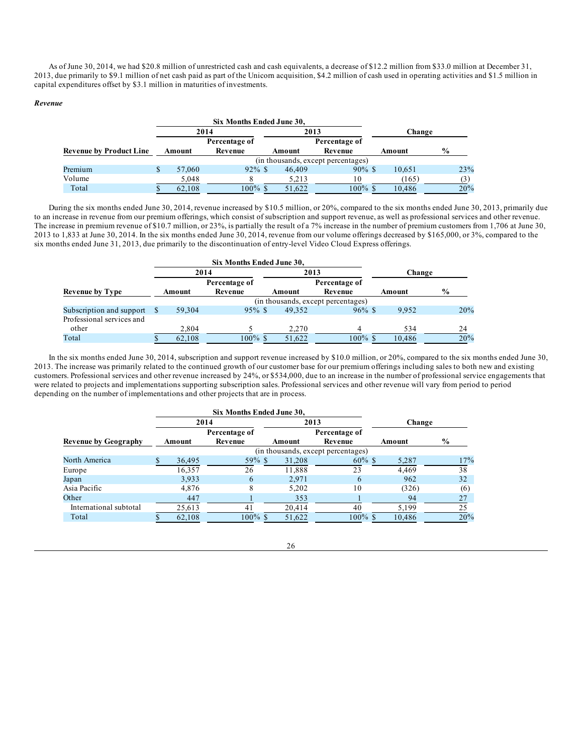As of June 30, 2014, we had \$20.8 million of unrestricted cash and cash equivalents, a decrease of \$12.2 million from \$33.0 million at December 31, 2013, due primarily to \$9.1 million of net cash paid as part of the Unicorn acquisition, \$4.2 million of cash used in operating activities and \$1.5 million in capital expenditures offset by \$3.1 million in maturities of investments.

### *Revenue*

|                                |      |        | Six Months Ended June 30, |               |        |                                    |        |        |               |     |
|--------------------------------|------|--------|---------------------------|---------------|--------|------------------------------------|--------|--------|---------------|-----|
|                                | 2014 |        |                           | 2013          |        |                                    | Change |        |               |     |
|                                |      |        | Percentage of             | Percentage of |        |                                    |        |        |               |     |
| <b>Revenue by Product Line</b> |      | Amount | Revenue                   | Amount        |        | Revenue                            |        | Amount | $\frac{0}{0}$ |     |
|                                |      |        |                           |               |        | (in thousands, except percentages) |        |        |               |     |
| Premium                        |      | 57,060 | $92\%$ \$                 |               | 46,409 | $90\%$ \$                          |        | 10,651 |               | 23% |
| Volume                         |      | 5.048  |                           |               | 5.213  | 10                                 |        | (165)  |               | (3) |
| Total                          |      | 62.108 | $100\%$ \$                |               | 51.622 | $100\%$ \$                         |        | 10.486 |               | 20% |

During the six months ended June 30, 2014, revenue increased by \$10.5 million, or 20%, compared to the six months ended June 30, 2013, primarily due to an increase in revenue from our premium offerings, which consist of subscription and support revenue, as well as professional services and other revenue. The increase in premium revenue of \$10.7 million, or 23%, is partially the result of a 7% increase in the number of premium customers from 1,706 at June 30, 2013 to 1,833 at June 30, 2014. In the six months ended June 30, 2014, revenue from our volume offerings decreased by \$165,000, or 3%, compared to the six months ended June 31, 2013, due primarily to the discontinuation of entry-level Video Cloud Express offerings.

|                             |      |                                    | Six Months Ended June 30, |        |               |        |               |  |  |  |
|-----------------------------|------|------------------------------------|---------------------------|--------|---------------|--------|---------------|--|--|--|
|                             | 2014 |                                    |                           |        | 2013          |        | Change        |  |  |  |
|                             |      |                                    | Percentage of             |        | Percentage of |        |               |  |  |  |
| <b>Revenue by Type</b>      |      | Amount                             | Revenue                   | Amount | Revenue       | Amount | $\frac{9}{0}$ |  |  |  |
|                             |      | (in thousands, except percentages) |                           |        |               |        |               |  |  |  |
| Subscription and support \$ |      | 59.304                             | $95\%$ \$                 | 49.352 | $96\%$ \$     | 9.952  | 20%           |  |  |  |
| Professional services and   |      |                                    |                           |        |               |        |               |  |  |  |
| other                       |      | 2,804                              |                           | 2.270  |               | 534    | 24            |  |  |  |
| Total                       |      | 62.108                             | $100\%$ \$                | 51.622 | $100\%$ \$    | 10.486 | 20%           |  |  |  |

In the six months ended June 30, 2014, subscription and support revenue increased by \$10.0 million, or 20%, compared to the six months ended June 30, 2013. The increase was primarily related to the continued growth of our customer base for our premium offerings including sales to both new and existing customers. Professional services and other revenue increased by 24%, or \$534,000, due to an increase in the number of professional service engagements that were related to projects and implementations supporting subscription sales. Professional services and other revenue will vary from period to period depending on the number of implementations and other projects that are in process.

|                             |        |                                    | Six Months Ended June 30, |  |               |            |  |        |      |  |  |
|-----------------------------|--------|------------------------------------|---------------------------|--|---------------|------------|--|--------|------|--|--|
|                             | 2014   |                                    |                           |  | 2013          |            |  | Change |      |  |  |
|                             | Amount |                                    | Percentage of<br>Revenue  |  | Percentage of |            |  |        |      |  |  |
| <b>Revenue by Geography</b> |        |                                    |                           |  | Amount        | Revenue    |  | Amount | $\%$ |  |  |
|                             |        | (in thousands, except percentages) |                           |  |               |            |  |        |      |  |  |
| North America               |        | 36,495                             | $59\%$ \$                 |  | 31,208        | $60\%$ \$  |  | 5,287  | 17%  |  |  |
| Europe                      |        | 16.357                             | 26                        |  | 11,888        | 23         |  | 4.469  | 38   |  |  |
| Japan                       |        | 3.933                              | 6                         |  | 2,971         | 6          |  | 962    | 32   |  |  |
| Asia Pacific                |        | 4,876                              | 8                         |  | 5,202         | 10         |  | (326)  | (6)  |  |  |
| Other                       |        | 447                                |                           |  | 353           |            |  | 94     | 27   |  |  |
| International subtotal      |        | 25,613                             | 41                        |  | 20,414        | 40         |  | 5,199  | 25   |  |  |
| Total                       |        | 62.108                             | $100\%$ \$                |  | 51,622        | $100\%$ \$ |  | 10.486 | 20%  |  |  |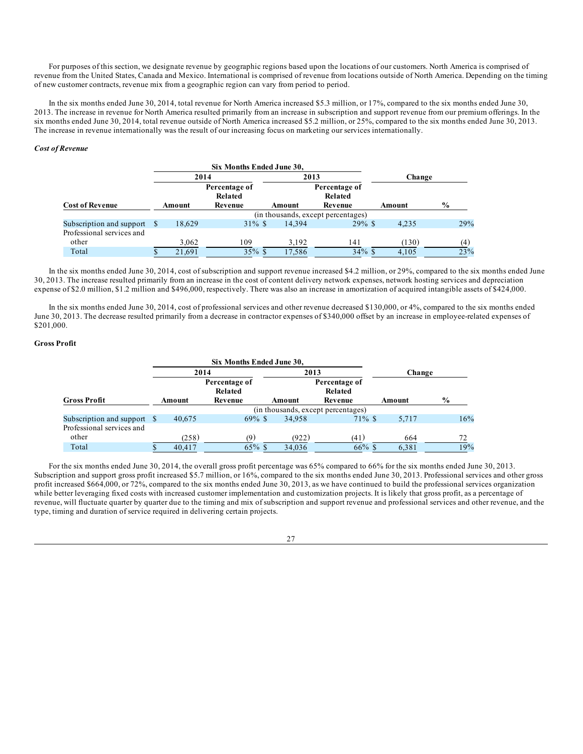For purposes of this section, we designate revenue by geographic regions based upon the locations of our customers. North America is comprised of revenue from the United States, Canada and Mexico. International is comprised of revenue from locations outside of North America. Depending on the timing of new customer contracts, revenue mix from a geographic region can vary from period to period.

In the six months ended June 30, 2014, total revenue for North America increased \$5.3 million, or 17%, compared to the six months ended June 30, 2013. The increase in revenue for North America resulted primarily from an increase in subscription and support revenue from our premium offerings. In the six months ended June 30, 2014, total revenue outside of North America increased \$5.2 million, or 25%, compared to the six months ended June 30, 2013. The increase in revenue internationally was the result of our increasing focus on marketing our services internationally.

### *Cost of Revenue*

|                             | Six Months Ended June 30, |                                                      |           |                                    |        |           |  |        |               |     |
|-----------------------------|---------------------------|------------------------------------------------------|-----------|------------------------------------|--------|-----------|--|--------|---------------|-----|
|                             | 2014                      |                                                      |           |                                    | 2013   |           |  | Change |               |     |
|                             |                           | Percentage of<br>Percentage of<br>Related<br>Related |           |                                    |        |           |  |        |               |     |
| <b>Cost of Revenue</b>      | Amount                    |                                                      | Revenue   |                                    | Amount | Revenue   |  | Amount | $\frac{0}{0}$ |     |
|                             |                           |                                                      |           | (in thousands, except percentages) |        |           |  |        |               |     |
| Subscription and support \$ |                           | 18.629                                               | $31\%$ \$ |                                    | 14.394 | $29\%$ \$ |  | 4.235  |               | 29% |
| Professional services and   |                           |                                                      |           |                                    |        |           |  |        |               |     |
| other                       |                           | 3.062                                                | 109       |                                    | 3,192  | 141       |  | (130)  |               | (4) |
| Total                       |                           | 21.691                                               | $35\%$ \$ |                                    | 17.586 | $34\%$ \$ |  | 4.105  |               | 23% |

In the six months ended June 30, 2014, cost of subscription and support revenue increased \$4.2 million, or 29%, compared to the six months ended June 30, 2013. The increase resulted primarily from an increase in the cost of content delivery network expenses, network hosting services and depreciation expense of \$2.0 million, \$1.2 million and \$496,000, respectively. There was also an increase in amortization of acquired intangible assets of \$424,000.

In the six months ended June 30, 2014, cost of professional services and other revenue decreased \$130,000, or 4%, compared to the six months ended June 30, 2013. The decrease resulted primarily from a decrease in contractor expenses of \$340,000 offset by an increase in employee-related expenses of \$201,000.

### **Gross Profit**

|                             | 2014   |                          |         |                          | 2013   |                                    |           | Change |               |     |
|-----------------------------|--------|--------------------------|---------|--------------------------|--------|------------------------------------|-----------|--------|---------------|-----|
|                             |        | Percentage of<br>Related |         | Percentage of<br>Related |        |                                    |           |        |               |     |
| <b>Gross Profit</b>         | Amount |                          | Revenue |                          | Amount | Revenue                            |           | Amount | $\frac{6}{9}$ |     |
|                             |        |                          |         |                          |        | (in thousands, except percentages) |           |        |               |     |
| Subscription and support \$ |        | 40,675                   |         | $69\%$ \$                | 34.958 |                                    | $71\%$ \$ | 5.717  |               | 16% |
| Professional services and   |        |                          |         |                          |        |                                    |           |        |               |     |
| other                       |        | (258)                    |         | (9)                      | (922)  | (41)                               |           | 664    |               | 72  |
| Total                       |        | 40.417                   |         | $65\%$ \$                | 34,036 |                                    | $66\%$ \$ | 6.381  |               | 19% |

For the six months ended June 30, 2014, the overall gross profit percentage was 65% compared to 66% for the six months ended June 30, 2013. Subscription and support gross profit increased \$5.7 million, or 16%, compared to the six months ended June 30, 2013. Professional services and other gross profit increased \$664,000, or 72%, compared to the six months ended June 30, 2013, as we have continued to build the professional services organization while better leveraging fixed costs with increased customer implementation and customization projects. It is likely that gross profit, as a percentage of revenue, will fluctuate quarter by quarter due to the timing and mix of subscription and support revenue and professional services and other revenue, and the type, timing and duration of service required in delivering certain projects.

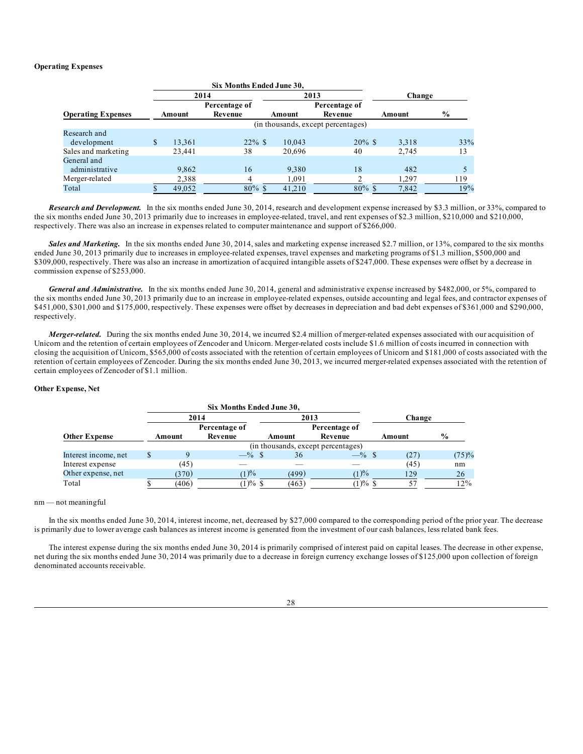### **Operating Expenses**

|                           |    |        | Six Months Ended June 30,          |        |                          |        |               |  |  |  |  |
|---------------------------|----|--------|------------------------------------|--------|--------------------------|--------|---------------|--|--|--|--|
|                           |    | 2014   |                                    |        | 2013                     |        | Change        |  |  |  |  |
| <b>Operating Expenses</b> |    | Amount | Percentage of<br>Revenue           | Amount | Percentage of<br>Revenue | Amount | $\frac{6}{9}$ |  |  |  |  |
|                           |    |        | (in thousands, except percentages) |        |                          |        |               |  |  |  |  |
| Research and              |    |        |                                    |        |                          |        |               |  |  |  |  |
| development               | \$ | 13,361 | $22\%$ \$                          | 10,043 | $20\%$ \$                | 3,318  | 33%           |  |  |  |  |
| Sales and marketing       |    | 23,441 | 38                                 | 20,696 | 40                       | 2,745  | 13            |  |  |  |  |
| General and               |    |        |                                    |        |                          |        |               |  |  |  |  |
| administrative            |    | 9,862  | 16                                 | 9,380  | 18                       | 482    | 5             |  |  |  |  |
| Merger-related            |    | 2,388  |                                    | 1,091  |                          | 1,297  | 119           |  |  |  |  |
| Total                     | S  | 49,052 | $80\%$ \$                          | 41.210 | $80\%$ \$                | 7.842  | 19%           |  |  |  |  |

*Research and Development.* In the six months ended June 30, 2014, research and development expense increased by \$3.3 million, or 33%, compared to the six months ended June 30, 2013 primarily due to increases in employee-related, travel, and rent expenses of \$2.3 million, \$210,000 and \$210,000, respectively. There was also an increase in expenses related to computer maintenance and support of \$266,000.

*Sales and Marketing.* In the six months ended June 30, 2014, sales and marketing expense increased \$2.7 million, or 13%, compared to the six months ended June 30, 2013 primarily due to increases in employee-related expenses, travel expenses and marketing programs of \$1.3 million, \$500,000 and \$309,000, respectively. There was also an increase in amortization of acquired intangible assets of \$247,000. These expenses were offset by a decrease in commission expense of \$253,000.

*General and Administrative.* In the six months ended June 30, 2014, general and administrative expense increased by \$482,000, or 5%, compared to the six months ended June 30, 2013 primarily due to an increase in employee-related expenses, outside accounting and legal fees, and contractor expenses of \$451,000, \$301,000 and \$175,000, respectively. These expenses were offset by decreases in depreciation and bad debt expenses of \$361,000 and \$290,000, respectively.

*Merger-related.* During the six months ended June 30, 2014, we incurred \$2.4 million of merger-related expenses associated with our acquisition of Unicorn and the retention of certain employees of Zencoder and Unicorn. Merger-related costs include \$1.6 million of costs incurred in connection with closing the acquisition of Unicorn, \$565,000 of costs associated with the retention of certain employees of Unicorn and \$181,000 of costs associated with the retention of certain employees of Zencoder. During the six months ended June 30, 2013, we incurred merger-related expenses associated with the retention of certain employees of Zencoder of \$1.1 million.

### **Other Expense, Net**

|                      |                                    |        | Six Months Ended June 30, |        |               |        |               |  |  |  |
|----------------------|------------------------------------|--------|---------------------------|--------|---------------|--------|---------------|--|--|--|
|                      |                                    | 2014   |                           |        | 2013          | Change |               |  |  |  |
|                      |                                    |        | Percentage of             |        | Percentage of |        |               |  |  |  |
| <b>Other Expense</b> |                                    | Amount | Revenue                   | Amount | Revenue       | Amount | $\frac{0}{0}$ |  |  |  |
|                      | (in thousands, except percentages) |        |                           |        |               |        |               |  |  |  |
| Interest income, net |                                    |        | $-$ % \$                  | 36     | $-$ % \$      | (27    | (75)%         |  |  |  |
| Interest expense     |                                    | (45)   |                           |        |               | (45)   | nm            |  |  |  |
| Other expense, net   |                                    | (370)  | (1)%                      | (499)  | (1)%          | 129    | 26            |  |  |  |
| Total                |                                    | (406)  | $(1) \%$ \$               | (463)  | $(1) \%$ \$   | 57     | 12%           |  |  |  |

#### nm — not meaningful

In the six months ended June 30, 2014, interest income, net, decreased by \$27,000 compared to the corresponding period of the prior year. The decrease is primarily due to lower average cash balances as interest income is generated from the investment of our cash balances, less related bank fees.

The interest expense during the six months ended June 30, 2014 is primarily comprised of interest paid on capital leases. The decrease in other expense, net during the six months ended June 30, 2014 was primarily due to a decrease in foreign currency exchange losses of \$125,000 upon collection of foreign denominated accounts receivable.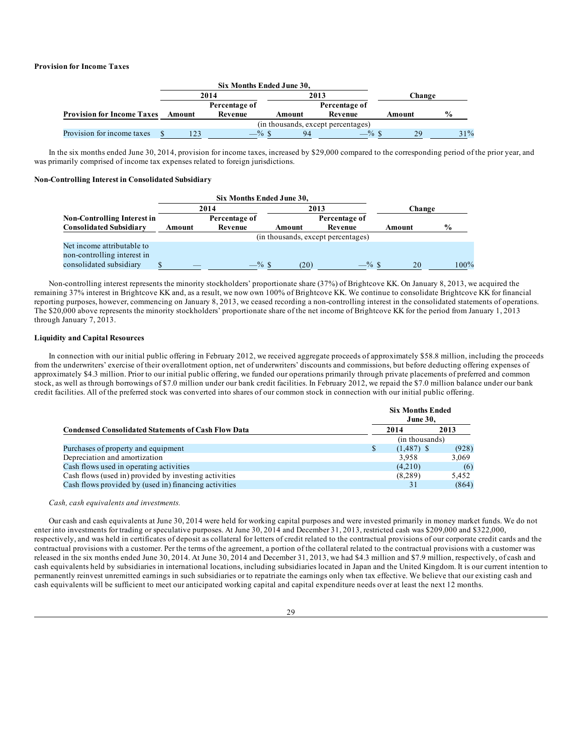### **Provision for Income Taxes**

|                                          | Six Months Ended June 30, |               |        |                                    |        |               |
|------------------------------------------|---------------------------|---------------|--------|------------------------------------|--------|---------------|
|                                          | 2014                      |               | 2013   |                                    | Change |               |
|                                          |                           | Percentage of |        | Percentage of                      |        |               |
| <b>Provision for Income Taxes</b> Amount |                           | Revenue       | Amount | Revenue                            | Amount | $\frac{6}{9}$ |
|                                          |                           |               |        | (in thousands, except percentages) |        |               |
| Provision for income taxes               | 123                       | $-$ %         | 94     | $-$ % \$                           | 29     | 31%           |

In the six months ended June 30, 2014, provision for income taxes, increased by \$29,000 compared to the corresponding period of the prior year, and was primarily comprised of income tax expenses related to foreign jurisdictions.

### **Non-Controlling Interest in Consolidated Subsidiary**

|                                                           | Six Months Ended June 30, |               |        |                                    |        |               |
|-----------------------------------------------------------|---------------------------|---------------|--------|------------------------------------|--------|---------------|
|                                                           |                           | 2014          |        | 2013                               | Change |               |
| <b>Non-Controlling Interest in</b>                        |                           | Percentage of |        | Percentage of                      |        |               |
| <b>Consolidated Subsidiary</b>                            | Amount                    | Revenue       | Amount | Revenue                            | Amount | $\frac{6}{9}$ |
|                                                           |                           |               |        | (in thousands, except percentages) |        |               |
| Net income attributable to<br>non-controlling interest in |                           |               |        |                                    |        |               |
| consolidated subsidiary                                   |                           | $-$ % \$      | (20)   | $-$ % \$                           | 20     | 100%          |

Non-controlling interest represents the minority stockholders' proportionate share (37%) of Brightcove KK. On January 8, 2013, we acquired the remaining 37% interest in Brightcove KK and, as a result, we now own 100% of Brightcove KK. We continue to consolidate Brightcove KK for financial reporting purposes, however, commencing on January 8, 2013, we ceased recording a non-controlling interest in the consolidated statements of operations. The \$20,000 above represents the minority stockholders' proportionate share of the net income of Brightcove KK for the period from January 1, 2013 through January 7, 2013.

### **Liquidity and Capital Resources**

In connection with our initial public offering in February 2012, we received aggregate proceeds of approximately \$58.8 million, including the proceeds from the underwriters' exercise of their overallotment option, net of underwriters' discounts and commissions, but before deducting offering expenses of approximately \$4.3 million. Prior to our initial public offering, we funded our operations primarily through private placements of preferred and common stock, as well as through borrowings of \$7.0 million under our bank credit facilities. In February 2012, we repaid the \$7.0 million balance under our bank credit facilities. All of the preferred stock was converted into shares of our common stock in connection with our initial public offering.

|                                                            | <b>Six Months Ended</b><br><b>June 30,</b> |                |       |
|------------------------------------------------------------|--------------------------------------------|----------------|-------|
| <b>Condensed Consolidated Statements of Cash Flow Data</b> |                                            | 2014           | 2013  |
|                                                            |                                            | (in thousands) |       |
| Purchases of property and equipment                        | S                                          | $(1,487)$ \$   | (928) |
| Depreciation and amortization                              |                                            | 3.958          | 3,069 |
| Cash flows used in operating activities                    |                                            | (4,210)        | (6)   |
| Cash flows (used in) provided by investing activities      |                                            | (8,289)        | 5,452 |
| Cash flows provided by (used in) financing activities      |                                            | 31             | (864) |

#### *Cash, cash equivalents and investments.*

Our cash and cash equivalents at June 30, 2014 were held for working capital purposes and were invested primarily in money market funds. We do not enter into investments for trading or speculative purposes. At June 30, 2014 and December 31, 2013, restricted cash was \$209,000 and \$322,000, respectively, and was held in certificates of deposit as collateral for letters of credit related to the contractual provisions of our corporate credit cards and the contractual provisions with a customer. Per the terms of the agreement, a portion of the collateral related to the contractual provisions with a customer was released in the six months ended June 30, 2014. At June 30, 2014 and December 31, 2013, we had \$4.3 million and \$7.9 million, respectively, of cash and cash equivalents held by subsidiaries in international locations, including subsidiaries located in Japan and the United Kingdom. It is our current intention to permanently reinvest unremitted earnings in such subsidiaries or to repatriate the earnings only when tax effective. We believe that our existing cash and cash equivalents will be sufficient to meet our anticipated working capital and capital expenditure needs over at least the next 12 months.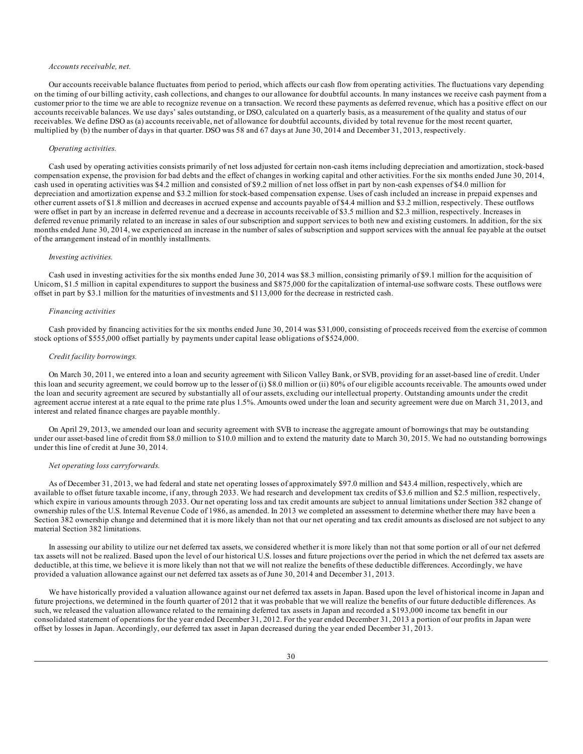### *Accounts receivable, net.*

Our accounts receivable balance fluctuates from period to period, which affects our cash flow from operating activities. The fluctuations vary depending on the timing of our billing activity, cash collections, and changes to our allowance for doubtful accounts. In many instances we receive cash payment from a customer prior to the time we are able to recognize revenue on a transaction. We record these payments as deferred revenue, which has a positive effect on our accounts receivable balances. We use days' sales outstanding, or DSO, calculated on a quarterly basis, as a measurement of the quality and status of our receivables. We define DSO as (a) accounts receivable, net of allowance for doubtful accounts, divided by total revenue for the most recent quarter, multiplied by (b) the number of days in that quarter. DSO was 58 and 67 days at June 30, 2014 and December 31, 2013, respectively.

### *Operating activities.*

Cash used by operating activities consists primarily of net loss adjusted for certain non-cash items including depreciation and amortization, stock-based compensation expense, the provision for bad debts and the effect of changes in working capital and other activities. For the six months ended June 30, 2014, cash used in operating activities was \$4.2 million and consisted of \$9.2 million of net loss offset in part by non-cash expenses of \$4.0 million for depreciation and amortization expense and \$3.2 million for stock-based compensation expense. Uses of cash included an increase in prepaid expenses and other current assets of \$1.8 million and decreases in accrued expense and accounts payable of \$4.4 million and \$3.2 million, respectively. These outflows were offset in part by an increase in deferred revenue and a decrease in accounts receivable of \$3.5 million and \$2.3 million, respectively. Increases in deferred revenue primarily related to an increase in sales of our subscription and support services to both new and existing customers. In addition, for the six months ended June 30, 2014, we experienced an increase in the number of sales of subscription and support services with the annual fee payable at the outset of the arrangement instead of in monthly installments.

#### *Investing activities.*

Cash used in investing activities for the six months ended June 30, 2014 was \$8.3 million, consisting primarily of \$9.1 million for the acquisition of Unicorn, \$1.5 million in capital expenditures to support the business and \$875,000 for the capitalization of internal-use software costs. These outflows were offset in part by \$3.1 million for the maturities of investments and \$113,000 for the decrease in restricted cash.

#### *Financing activities*

Cash provided by financing activities for the six months ended June 30, 2014 was \$31,000, consisting of proceeds received from the exercise of common stock options of \$555,000 offset partially by payments under capital lease obligations of \$524,000.

### *Credit facility borrowings.*

On March 30, 2011, we entered into a loan and security agreement with Silicon Valley Bank, or SVB, providing for an asset-based line of credit. Under this loan and security agreement, we could borrow up to the lesser of (i) \$8.0 million or (ii) 80% of our eligible accounts receivable. The amounts owed under the loan and security agreement are secured by substantially all of our assets, excluding our intellectual property. Outstanding amounts under the credit agreement accrue interest at a rate equal to the prime rate plus 1.5%. Amounts owed under the loan and security agreement were due on March 31, 2013, and interest and related finance charges are payable monthly.

On April 29, 2013, we amended our loan and security agreement with SVB to increase the aggregate amount of borrowings that may be outstanding under our asset-based line of credit from \$8.0 million to \$10.0 million and to extend the maturity date to March 30, 2015. We had no outstanding borrowings under this line of credit at June 30, 2014.

#### *Net operating loss carryforwards.*

As of December 31, 2013, we had federal and state net operating losses of approximately \$97.0 million and \$43.4 million, respectively, which are available to offset future taxable income, if any, through 2033. We had research and development tax credits of \$3.6 million and \$2.5 million, respectively, which expire in various amounts through 2033. Our net operating loss and tax credit amounts are subject to annual limitations under Section 382 change of ownership rules of the U.S. Internal Revenue Code of 1986, as amended. In 2013 we completed an assessment to determine whether there may have been a Section 382 ownership change and determined that it is more likely than not that our net operating and tax credit amounts as disclosed are not subject to any material Section 382 limitations.

In assessing our ability to utilize our net deferred tax assets, we considered whether it is more likely than not that some portion or all of our net deferred tax assets will not be realized. Based upon the level of our historical U.S. losses and future projections over the period in which the net deferred tax assets are deductible, at this time, we believe it is more likely than not that we will not realize the benefits of these deductible differences. Accordingly, we have provided a valuation allowance against our net deferred tax assets as of June 30, 2014 and December 31, 2013.

We have historically provided a valuation allowance against our net deferred tax assets in Japan. Based upon the level of historical income in Japan and future projections, we determined in the fourth quarter of 2012 that it was probable that we will realize the benefits of our future deductible differences. As such, we released the valuation allowance related to the remaining deferred tax assets in Japan and recorded a \$193,000 income tax benefit in our consolidated statement of operations for the year ended December 31, 2012. For the year ended December 31, 2013 a portion of our profits in Japan were offset by losses in Japan. Accordingly, our deferred tax asset in Japan decreased during the year ended December 31, 2013.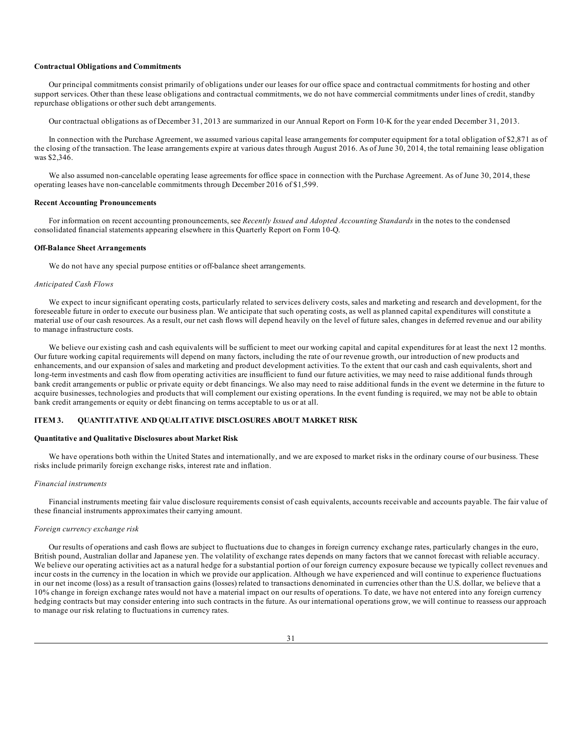### <span id="page-30-0"></span>**Contractual Obligations and Commitments**

Our principal commitments consist primarily of obligations under our leases for our office space and contractual commitments for hosting and other support services. Other than these lease obligations and contractual commitments, we do not have commercial commitments under lines of credit, standby repurchase obligations or other such debt arrangements.

Our contractual obligations as of December 31, 2013 are summarized in our Annual Report on Form 10-K for the year ended December 31, 2013.

In connection with the Purchase Agreement, we assumed various capital lease arrangements for computer equipment for a total obligation of \$2,871 as of the closing of the transaction. The lease arrangements expire at various dates through August 2016. As of June 30, 2014, the total remaining lease obligation was \$2,346.

We also assumed non-cancelable operating lease agreements for office space in connection with the Purchase Agreement. As of June 30, 2014, these operating leases have non-cancelable commitments through December 2016 of \$1,599.

### **Recent Accounting Pronouncements**

For information on recent accounting pronouncements, see *Recently Issued and Adopted Accounting Standards* in the notes to the condensed consolidated financial statements appearing elsewhere in this Quarterly Report on Form 10-Q.

#### **Off-Balance Sheet Arrangements**

We do not have any special purpose entities or off-balance sheet arrangements.

### *Anticipated Cash Flows*

We expect to incur significant operating costs, particularly related to services delivery costs, sales and marketing and research and development, for the foreseeable future in order to execute our business plan. We anticipate that such operating costs, as well as planned capital expenditures will constitute a material use of our cash resources. As a result, our net cash flows will depend heavily on the level of future sales, changes in deferred revenue and our ability to manage infrastructure costs.

We believe our existing cash and cash equivalents will be sufficient to meet our working capital and capital expenditures for at least the next 12 months. Our future working capital requirements will depend on many factors, including the rate of our revenue growth, our introduction of new products and enhancements, and our expansion of sales and marketing and product development activities. To the extent that our cash and cash equivalents, short and long-term investments and cash flow from operating activities are insufficient to fund our future activities, we may need to raise additional funds through bank credit arrangements or public or private equity or debt financings. We also may need to raise additional funds in the event we determine in the future to acquire businesses, technologies and products that will complement our existing operations. In the event funding is required, we may not be able to obtain bank credit arrangements or equity or debt financing on terms acceptable to us or at all.

### **ITEM 3. QUANTITATIVE AND QUALITATIVE DISCLOSURES ABOUT MARKET RISK**

### **Quantitative and Qualitative Disclosures about Market Risk**

We have operations both within the United States and internationally, and we are exposed to market risks in the ordinary course of our business. These risks include primarily foreign exchange risks, interest rate and inflation.

#### *Financial instruments*

Financial instruments meeting fair value disclosure requirements consist of cash equivalents, accounts receivable and accounts payable. The fair value of these financial instruments approximates their carrying amount.

### *Foreign currency exchange risk*

Our results of operations and cash flows are subject to fluctuations due to changes in foreign currency exchange rates, particularly changes in the euro, British pound, Australian dollar and Japanese yen. The volatility of exchange rates depends on many factors that we cannot forecast with reliable accuracy. We believe our operating activities act as a natural hedge for a substantial portion of our foreign currency exposure because we typically collect revenues and incur costs in the currency in the location in which we provide our application. Although we have experienced and will continue to experience fluctuations in our net income (loss) as a result of transaction gains (losses) related to transactions denominated in currencies other than the U.S. dollar, we believe that a 10% change in foreign exchange rates would not have a material impact on our results of operations. To date, we have not entered into any foreign currency hedging contracts but may consider entering into such contracts in the future. As our international operations grow, we will continue to reassess our approach to manage our risk relating to fluctuations in currency rates.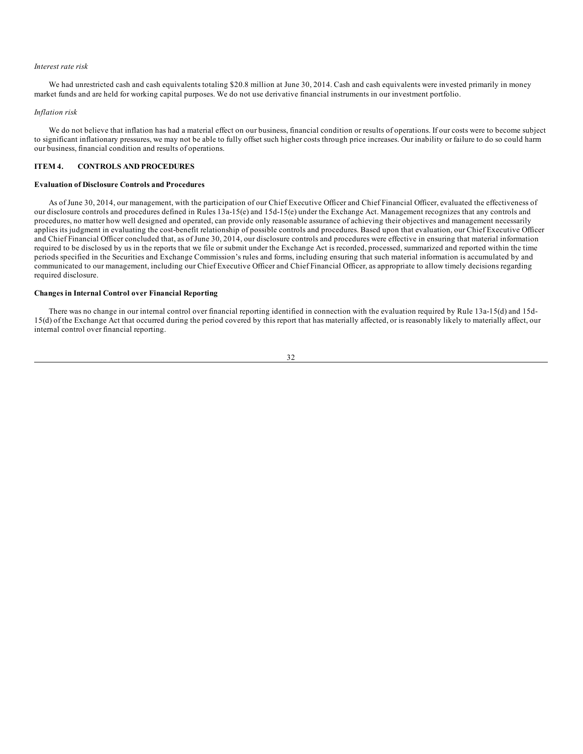### <span id="page-31-0"></span>*Interest rate risk*

We had unrestricted cash and cash equivalents totaling \$20.8 million at June 30, 2014. Cash and cash equivalents were invested primarily in money market funds and are held for working capital purposes. We do not use derivative financial instruments in our investment portfolio.

#### *Inflation risk*

We do not believe that inflation has had a material effect on our business, financial condition or results of operations. If our costs were to become subject to significant inflationary pressures, we may not be able to fully offset such higher costs through price increases. Our inability or failure to do so could harm our business, financial condition and results of operations.

### **ITEM 4. CONTROLS AND PROCEDURES**

### **Evaluation of Disclosure Controls and Procedures**

As of June 30, 2014, our management, with the participation of our Chief Executive Officer and Chief Financial Officer, evaluated the effectiveness of our disclosure controls and procedures defined in Rules 13a-15(e) and 15d-15(e) under the Exchange Act. Management recognizes that any controls and procedures, no matter how well designed and operated, can provide only reasonable assurance of achieving their objectives and management necessarily applies its judgment in evaluating the cost-benefit relationship of possible controls and procedures. Based upon that evaluation, our Chief Executive Officer and Chief Financial Officer concluded that, as of June 30, 2014, our disclosure controls and procedures were effective in ensuring that material information required to be disclosed by us in the reports that we file or submit under the Exchange Act is recorded, processed, summarized and reported within the time periods specified in the Securities and Exchange Commission's rules and forms, including ensuring that such material information is accumulated by and communicated to our management, including our Chief Executive Officer and Chief Financial Officer, as appropriate to allow timely decisions regarding required disclosure.

### **Changes in Internal Control over Financial Reporting**

There was no change in our internal control over financial reporting identified in connection with the evaluation required by Rule 13a-15(d) and 15d-15(d) of the Exchange Act that occurred during the period covered by this report that has materially affected, or is reasonably likely to materially affect, our internal control over financial reporting.

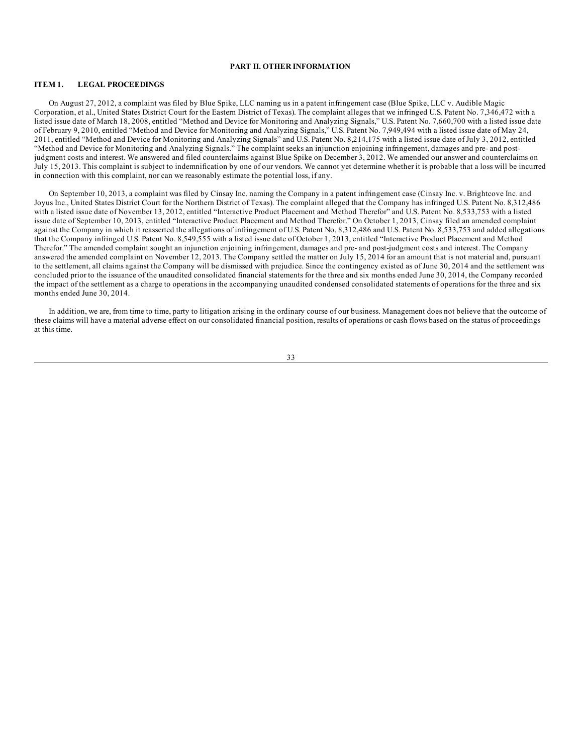## **PART II. OTHER INFORMATION**

## <span id="page-32-0"></span>**ITEM 1. LEGAL PROCEEDINGS**

On August 27, 2012, a complaint was filed by Blue Spike, LLC naming us in a patent infringement case (Blue Spike, LLC v. Audible Magic Corporation, et al., United States District Court for the Eastern District of Texas). The complaint alleges that we infringed U.S. Patent No. 7,346,472 with a listed issue date of March 18, 2008, entitled "Method and Device for Monitoring and Analyzing Signals," U.S. Patent No. 7,660,700 with a listed issue date of February 9, 2010, entitled "Method and Device for Monitoring and Analyzing Signals," U.S. Patent No. 7,949,494 with a listed issue date of May 24, 2011, entitled "Method and Device for Monitoring and Analyzing Signals" and U.S. Patent No. 8,214,175 with a listed issue date of July 3, 2012, entitled "Method and Device for Monitoring and Analyzing Signals." The complaint seeks an injunction enjoining infringement, damages and pre- and postjudgment costs and interest. We answered and filed counterclaims against Blue Spike on December 3, 2012. We amended our answer and counterclaims on July 15, 2013. This complaint is subject to indemnification by one of our vendors. We cannot yet determine whether it is probable that a loss will be incurred in connection with this complaint, nor can we reasonably estimate the potential loss, if any.

On September 10, 2013, a complaint was filed by Cinsay Inc. naming the Company in a patent infringement case (Cinsay Inc. v. Brightcove Inc. and Joyus Inc., United States District Court for the Northern District of Texas). The complaint alleged that the Company has infringed U.S. Patent No. 8,312,486 with a listed issue date of November 13, 2012, entitled "Interactive Product Placement and Method Therefor" and U.S. Patent No. 8,533,753 with a listed issue date of September 10, 2013, entitled "Interactive Product Placement and Method Therefor." On October 1, 2013, Cinsay filed an amended complaint against the Company in which it reasserted the allegations of infringement of U.S. Patent No. 8,312,486 and U.S. Patent No. 8,533,753 and added allegations that the Company infringed U.S. Patent No. 8,549,555 with a listed issue date of October 1, 2013, entitled "Interactive Product Placement and Method Therefor." The amended complaint sought an injunction enjoining infringement, damages and pre- and post-judgment costs and interest. The Company answered the amended complaint on November 12, 2013. The Company settled the matter on July 15, 2014 for an amount that is not material and, pursuant to the settlement, all claims against the Company will be dismissed with prejudice. Since the contingency existed as of June 30, 2014 and the settlement was concluded prior to the issuance of the unaudited consolidated financial statements for the three and six months ended June 30, 2014, the Company recorded the impact of the settlement as a charge to operations in the accompanying unaudited condensed consolidated statements of operations for the three and six months ended June 30, 2014.

In addition, we are, from time to time, party to litigation arising in the ordinary course of our business. Management does not believe that the outcome of these claims will have a material adverse effect on our consolidated financial position, results of operations or cash flows based on the status of proceedings at this time.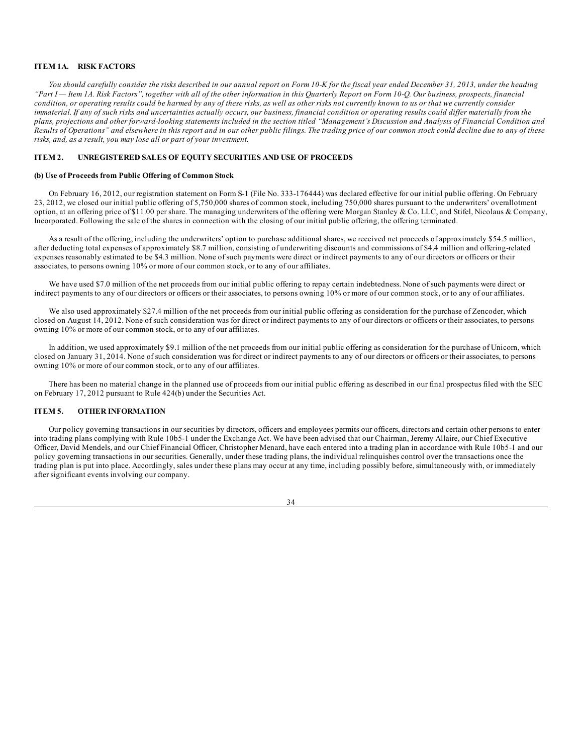## <span id="page-33-0"></span>**ITEM 1A. RISK FACTORS**

You should carefully consider the risks described in our annual report on Form 10-K for the fiscal year ended December 31, 2013, under the heading "Part I — Item 1A. Risk Factors", together with all of the other information in this Quarterly Report on Form 10-O. Our business, prospects, financial condition, or operating results could be harmed by any of these risks, as well as other risks not currently known to us or that we currently consider immaterial. If any of such risks and uncertainties actually occurs, our business, financial condition or operating results could differ materially from the plans, projections and other forward-looking statements included in the section titled "Management's Discussion and Analysis of Financial Condition and Results of Operations" and elsewhere in this report and in our other public filings. The trading price of our common stock could decline due to any of these *risks, and, as a result, you may lose all or part of your investment.*

## **ITEM 2. UNREGISTERED SALES OF EQUITY SECURITIES AND USE OF PROCEEDS**

#### **(b) Use of Proceeds from Public Offering of Common Stock**

On February 16, 2012, our registration statement on Form S-1 (File No. 333-176444) was declared effective for our initial public offering. On February 23, 2012, we closed our initial public offering of 5,750,000 shares of common stock, including 750,000 shares pursuant to the underwriters' overallotment option, at an offering price of \$11.00 per share. The managing underwriters of the offering were Morgan Stanley & Co. LLC, and Stifel, Nicolaus & Company, Incorporated. Following the sale of the shares in connection with the closing of our initial public offering, the offering terminated.

As a result of the offering, including the underwriters' option to purchase additional shares, we received net proceeds of approximately \$54.5 million, after deducting total expenses of approximately \$8.7 million, consisting of underwriting discounts and commissions of \$4.4 million and offering-related expenses reasonably estimated to be \$4.3 million. None of such payments were direct or indirect payments to any of our directors or officers or their associates, to persons owning 10% or more of our common stock, or to any of our affiliates.

We have used \$7.0 million of the net proceeds from our initial public offering to repay certain indebtedness. None of such payments were direct or indirect payments to any of our directors or officers or their associates, to persons owning 10% or more of our common stock, or to any of our affiliates.

We also used approximately \$27.4 million of the net proceeds from our initial public offering as consideration for the purchase of Zencoder, which closed on August 14, 2012. None of such consideration was for direct or indirect payments to any of our directors or officers or their associates, to persons owning 10% or more of our common stock, or to any of our affiliates.

In addition, we used approximately \$9.1 million of the net proceeds from our initial public offering as consideration for the purchase of Unicorn, which closed on January 31, 2014. None of such consideration was for direct or indirect payments to any of our directors or officers or their associates, to persons owning 10% or more of our common stock, or to any of our affiliates.

There has been no material change in the planned use of proceeds from our initial public offering as described in our final prospectus filed with the SEC on February 17, 2012 pursuant to Rule 424(b) under the Securities Act.

## **ITEM 5. OTHER INFORMATION**

Our policy governing transactions in our securities by directors, officers and employees permits our officers, directors and certain other persons to enter into trading plans complying with Rule 10b5-1 under the Exchange Act. We have been advised that our Chairman, Jeremy Allaire, our Chief Executive Officer, David Mendels, and our Chief Financial Officer, Christopher Menard, have each entered into a trading plan in accordance with Rule 10b5-1 and our policy governing transactions in our securities. Generally, under these trading plans, the individual relinquishes control over the transactions once the trading plan is put into place. Accordingly, sales under these plans may occur at any time, including possibly before, simultaneously with, or immediately after significant events involving our company.

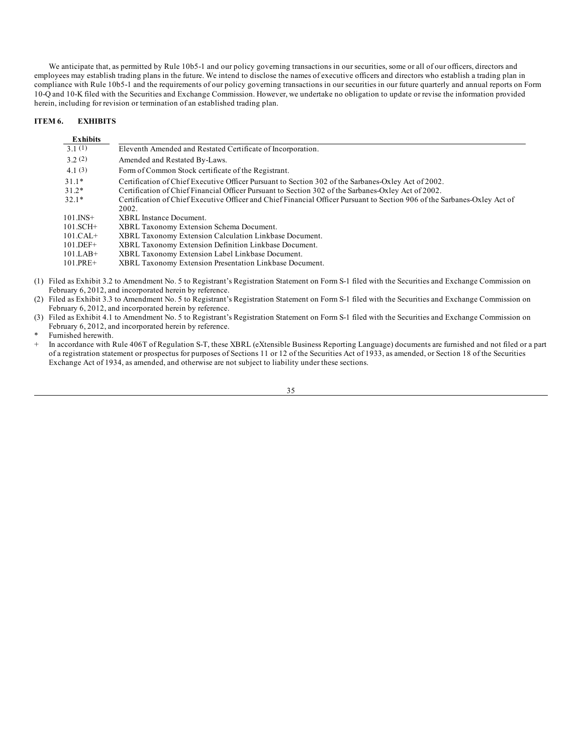<span id="page-34-0"></span>We anticipate that, as permitted by Rule 10b5-1 and our policy governing transactions in our securities, some or all of our officers, directors and employees may establish trading plans in the future. We intend to disclose the names of executive officers and directors who establish a trading plan in compliance with Rule 10b5-1 and the requirements of our policy governing transactions in our securities in our future quarterly and annual reports on Form 10-Q and 10-K filed with the Securities and Exchange Commission. However, we undertake no obligation to update or revise the information provided herein, including for revision or termination of an established trading plan.

## **ITEM 6. EXHIBITS**

| <b>Exhibits</b> |                                                                                                                           |
|-----------------|---------------------------------------------------------------------------------------------------------------------------|
| 3.1(1)          | Eleventh Amended and Restated Certificate of Incorporation.                                                               |
| 3.2(2)          | Amended and Restated By-Laws.                                                                                             |
| 4.1(3)          | Form of Common Stock certificate of the Registrant.                                                                       |
| $31.1*$         | Certification of Chief Executive Officer Pursuant to Section 302 of the Sarbanes-Oxley Act of 2002.                       |
| $31.2*$         | Certification of Chief Financial Officer Pursuant to Section 302 of the Sarbanes-Oxley Act of 2002.                       |
| $32.1*$         | Certification of Chief Executive Officer and Chief Financial Officer Pursuant to Section 906 of the Sarbanes-Oxley Act of |
|                 | 2002.                                                                                                                     |
| $101$ . INS+    | <b>XBRL</b> Instance Document.                                                                                            |
| $101.SCH+$      | XBRL Taxonomy Extension Schema Document.                                                                                  |
| $101.CAL+$      | XBRL Taxonomy Extension Calculation Linkbase Document.                                                                    |
| $101.DEF+$      | XBRL Taxonomy Extension Definition Linkbase Document.                                                                     |
| $101.LAB+$      | XBRL Taxonomy Extension Label Linkbase Document.                                                                          |
| $101.PRE+$      | XBRL Taxonomy Extension Presentation Linkbase Document.                                                                   |
|                 |                                                                                                                           |

(1) Filed as Exhibit 3.2 to Amendment No. 5 to Registrant's Registration Statement on Form S-1 filed with the Securities and Exchange Commission on February 6, 2012, and incorporated herein by reference.

- (2) Filed as Exhibit 3.3 to Amendment No. 5 to Registrant's Registration Statement on Form S-1 filed with the Securities and Exchange Commission on February 6, 2012, and incorporated herein by reference.
- (3) Filed as Exhibit 4.1 to Amendment No. 5 to Registrant's Registration Statement on Form S-1 filed with the Securities and Exchange Commission on February 6, 2012, and incorporated herein by reference.

Furnished herewith.

<sup>+</sup> In accordance with Rule 406T of Regulation S-T, these XBRL (eXtensible Business Reporting Language) documents are furnished and not filed or a part of a registration statement or prospectus for purposes of Sections 11 or 12 of the Securities Act of 1933, as amended, or Section 18 of the Securities Exchange Act of 1934, as amended, and otherwise are not subject to liability under these sections.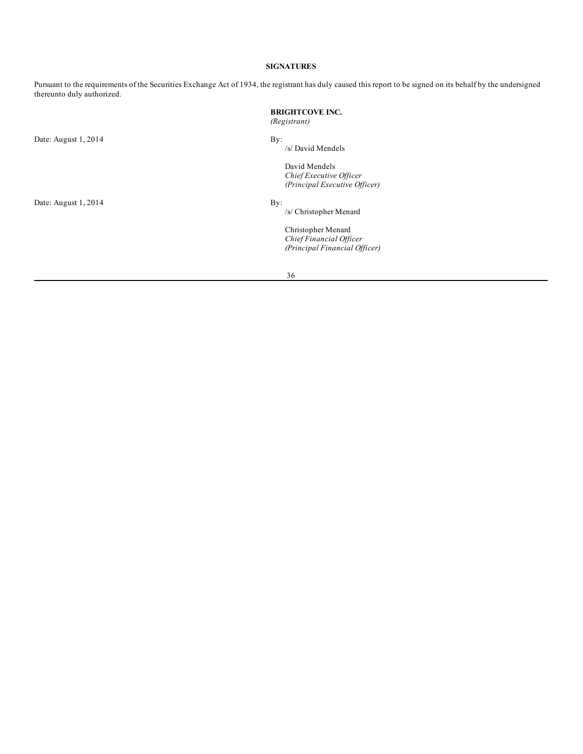# **SIGNATURES**

<span id="page-35-0"></span>Pursuant to the requirements of the Securities Exchange Act of 1934, the registrant has duly caused this report to be signed on its behalf by the undersigned thereunto duly authorized.

|                      | <b>BRIGHTCOVE INC.</b><br>(Registrant)                                         |
|----------------------|--------------------------------------------------------------------------------|
| Date: August 1, 2014 | By:<br>/s/ David Mendels                                                       |
|                      | David Mendels<br>Chief Executive Officer<br>(Principal Executive Officer)      |
| Date: August 1, 2014 | By:<br>/s/ Christopher Menard                                                  |
|                      | Christopher Menard<br>Chief Financial Officer<br>(Principal Financial Officer) |
|                      | 36                                                                             |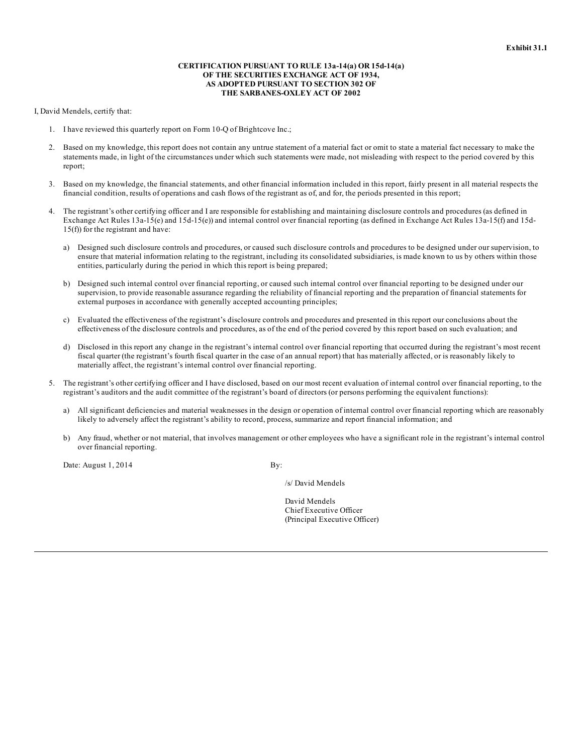### **CERTIFICATION PURSUANT TO RULE 13a-14(a) OR 15d-14(a) OF THE SECURITIES EXCHANGE ACT OF 1934, AS ADOPTED PURSUANT TO SECTION 302 OF THE SARBANES-OXLEY ACT OF 2002**

I, David Mendels, certify that:

- 1. I have reviewed this quarterly report on Form 10-Q of Brightcove Inc.;
- 2. Based on my knowledge, this report does not contain any untrue statement of a material fact or omit to state a material fact necessary to make the statements made, in light of the circumstances under which such statements were made, not misleading with respect to the period covered by this report;
- 3. Based on my knowledge, the financial statements, and other financial information included in this report, fairly present in all material respects the financial condition, results of operations and cash flows of the registrant as of, and for, the periods presented in this report;
- 4. The registrant's other certifying officer and I are responsible for establishing and maintaining disclosure controls and procedures (as defined in Exchange Act Rules 13a-15(e) and 15d-15(e)) and internal control over financial reporting (as defined in Exchange Act Rules 13a-15(f) and 15d-15(f)) for the registrant and have:
	- a) Designed such disclosure controls and procedures, or caused such disclosure controls and procedures to be designed under our supervision, to ensure that material information relating to the registrant, including its consolidated subsidiaries, is made known to us by others within those entities, particularly during the period in which this report is being prepared;
	- b) Designed such internal control over financial reporting, or caused such internal control over financial reporting to be designed under our supervision, to provide reasonable assurance regarding the reliability of financial reporting and the preparation of financial statements for external purposes in accordance with generally accepted accounting principles;
	- c) Evaluated the effectiveness of the registrant's disclosure controls and procedures and presented in this report our conclusions about the effectiveness of the disclosure controls and procedures, as of the end of the period covered by this report based on such evaluation; and
	- d) Disclosed in this report any change in the registrant's internal control over financial reporting that occurred during the registrant's most recent fiscal quarter (the registrant's fourth fiscal quarter in the case of an annual report) that has materially affected, or is reasonably likely to materially affect, the registrant's internal control over financial reporting.
- 5. The registrant's other certifying officer and I have disclosed, based on our most recent evaluation of internal control over financial reporting, to the registrant's auditors and the audit committee of the registrant's board of directors (or persons performing the equivalent functions):
	- a) All significant deficiencies and material weaknesses in the design or operation of internal control over financial reporting which are reasonably likely to adversely affect the registrant's ability to record, process, summarize and report financial information; and
	- b) Any fraud, whether or not material, that involves management or other employees who have a significant role in the registrant's internal control over financial reporting.

Date: August 1, 2014 By:

/s/ David Mendels

David Mendels Chief Executive Officer (Principal Executive Officer)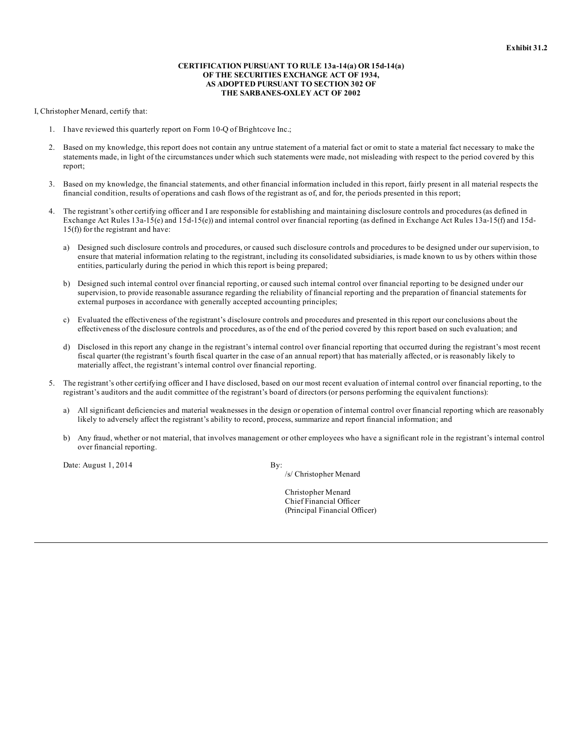### **CERTIFICATION PURSUANT TO RULE 13a-14(a) OR 15d-14(a) OF THE SECURITIES EXCHANGE ACT OF 1934, AS ADOPTED PURSUANT TO SECTION 302 OF THE SARBANES-OXLEY ACT OF 2002**

I, Christopher Menard, certify that:

- 1. I have reviewed this quarterly report on Form 10-Q of Brightcove Inc.;
- 2. Based on my knowledge, this report does not contain any untrue statement of a material fact or omit to state a material fact necessary to make the statements made, in light of the circumstances under which such statements were made, not misleading with respect to the period covered by this report;
- 3. Based on my knowledge, the financial statements, and other financial information included in this report, fairly present in all material respects the financial condition, results of operations and cash flows of the registrant as of, and for, the periods presented in this report;
- 4. The registrant's other certifying officer and I are responsible for establishing and maintaining disclosure controls and procedures (as defined in Exchange Act Rules 13a-15(e) and 15d-15(e)) and internal control over financial reporting (as defined in Exchange Act Rules 13a-15(f) and 15d-15(f)) for the registrant and have:
	- a) Designed such disclosure controls and procedures, or caused such disclosure controls and procedures to be designed under our supervision, to ensure that material information relating to the registrant, including its consolidated subsidiaries, is made known to us by others within those entities, particularly during the period in which this report is being prepared;
	- b) Designed such internal control over financial reporting, or caused such internal control over financial reporting to be designed under our supervision, to provide reasonable assurance regarding the reliability of financial reporting and the preparation of financial statements for external purposes in accordance with generally accepted accounting principles;
	- c) Evaluated the effectiveness of the registrant's disclosure controls and procedures and presented in this report our conclusions about the effectiveness of the disclosure controls and procedures, as of the end of the period covered by this report based on such evaluation; and
	- d) Disclosed in this report any change in the registrant's internal control over financial reporting that occurred during the registrant's most recent fiscal quarter (the registrant's fourth fiscal quarter in the case of an annual report) that has materially affected, or is reasonably likely to materially affect, the registrant's internal control over financial reporting.
- 5. The registrant's other certifying officer and I have disclosed, based on our most recent evaluation of internal control over financial reporting, to the registrant's auditors and the audit committee of the registrant's board of directors (or persons performing the equivalent functions):
	- a) All significant deficiencies and material weaknesses in the design or operation of internal control over financial reporting which are reasonably likely to adversely affect the registrant's ability to record, process, summarize and report financial information; and
	- b) Any fraud, whether or not material, that involves management or other employees who have a significant role in the registrant's internal control over financial reporting.

Date: August  $1, 2014$  By:

/s/ Christopher Menard

Christopher Menard Chief Financial Officer (Principal Financial Officer)